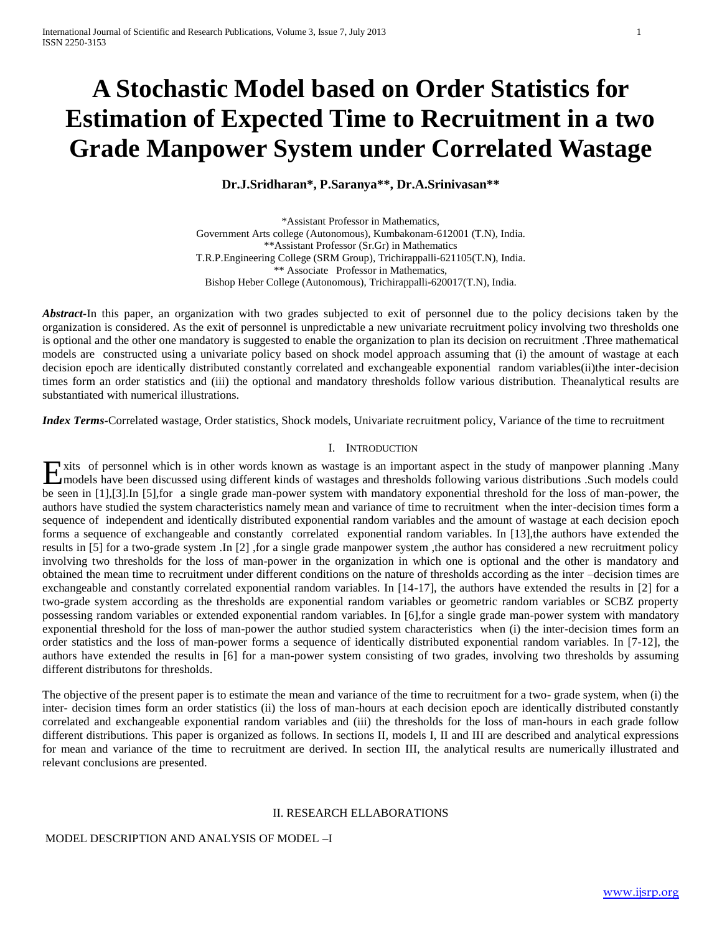# **A Stochastic Model based on Order Statistics for Estimation of Expected Time to Recruitment in a two Grade Manpower System under Correlated Wastage**

## **Dr.J.Sridharan\*, P.Saranya\*\*, Dr.A.Srinivasan\*\***

\*Assistant Professor in Mathematics, Government Arts college (Autonomous), Kumbakonam-612001 (T.N), India. \*\*Assistant Professor (Sr.Gr) in Mathematics T.R.P.Engineering College (SRM Group), Trichirappalli-621105(T.N), India. \*\* Associate Professor in Mathematics, Bishop Heber College (Autonomous), Trichirappalli-620017(T.N), India.

*Abstract-*In this paper, an organization with two grades subjected to exit of personnel due to the policy decisions taken by the organization is considered. As the exit of personnel is unpredictable a new univariate recruitment policy involving two thresholds one is optional and the other one mandatory is suggested to enable the organization to plan its decision on recruitment .Three mathematical models are constructed using a univariate policy based on shock model approach assuming that (i) the amount of wastage at each decision epoch are identically distributed constantly correlated and exchangeable exponential random variables(ii)the inter-decision times form an order statistics and (iii) the optional and mandatory thresholds follow various distribution. Theanalytical results are substantiated with numerical illustrations.

*Index Terms-*Correlated wastage, Order statistics, Shock models, Univariate recruitment policy, Variance of the time to recruitment

#### I. INTRODUCTION

xits of personnel which is in other words known as wastage is an important aspect in the study of manpower planning .Many Exits of personnel which is in other words known as wastage is an important aspect in the study of manpower planning .Many<br>
Imodels have been discussed using different kinds of wastages and thresholds following various dis be seen in [1],[3].In [5],for a single grade man-power system with mandatory exponential threshold for the loss of man-power, the authors have studied the system characteristics namely mean and variance of time to recruitment when the inter-decision times form a sequence of independent and identically distributed exponential random variables and the amount of wastage at each decision epoch forms a sequence of exchangeable and constantly correlated exponential random variables. In [13],the authors have extended the results in [5] for a two-grade system .In [2] ,for a single grade manpower system ,the author has considered a new recruitment policy involving two thresholds for the loss of man-power in the organization in which one is optional and the other is mandatory and obtained the mean time to recruitment under different conditions on the nature of thresholds according as the inter –decision times are exchangeable and constantly correlated exponential random variables. In [14-17], the authors have extended the results in [2] for a two-grade system according as the thresholds are exponential random variables or geometric random variables or SCBZ property possessing random variables or extended exponential random variables. In [6],for a single grade man-power system with mandatory exponential threshold for the loss of man-power the author studied system characteristics when (i) the inter-decision times form an order statistics and the loss of man-power forms a sequence of identically distributed exponential random variables. In [7-12], the authors have extended the results in [6] for a man-power system consisting of two grades, involving two thresholds by assuming different distributons for thresholds.

The objective of the present paper is to estimate the mean and variance of the time to recruitment for a two- grade system, when (i) the inter- decision times form an order statistics (ii) the loss of man-hours at each decision epoch are identically distributed constantly correlated and exchangeable exponential random variables and (iii) the thresholds for the loss of man-hours in each grade follow different distributions. This paper is organized as follows. In sections II, models I, II and III are described and analytical expressions for mean and variance of the time to recruitment are derived. In section III, the analytical results are numerically illustrated and relevant conclusions are presented.

## II. RESEARCH ELLABORATIONS

### MODEL DESCRIPTION AND ANALYSIS OF MODEL –I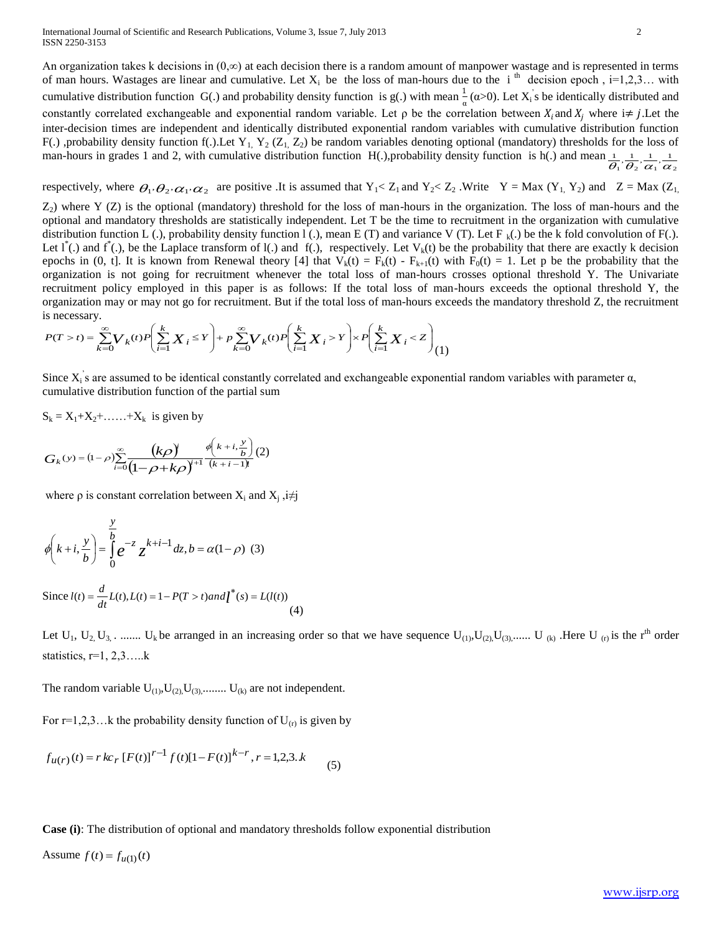An organization takes k decisions in  $(0, \infty)$  at each decision there is a random amount of manpower wastage and is represented in terms of man hours. Wastages are linear and cumulative. Let  $X_i$  be the loss of man-hours due to the i<sup>th</sup> decision epoch, i=1,2,3... with cumulative distribution function G(.) and probability density function is g(.) with mean  $\frac{1}{\alpha}$  ( $\alpha$ >0). Let X<sub>i</sub>'s be identically distributed and constantly correlated exchangeable and exponential random variable. Let  $\rho$  be the correlation between  $X_i$  and  $X_i$  where  $i \neq j$ . Let the inter-decision times are independent and identically distributed exponential random variables with cumulative distribution function F(.), probability density function f(.). Let Y<sub>1</sub>, Y<sub>2</sub> (Z<sub>1</sub>, Z<sub>2</sub>) be random variables denoting optional (mandatory) thresholds for the loss of man-hours in grades 1 and 2, with cumulative distribution function H(.),probability density function is h(.) and mean  $\theta_1 \, \theta_2 \, \alpha_1 \, \alpha_2$  $\frac{1}{2}, \frac{1}{2}, \frac{1}{2}, \frac{1}{2}$ 

respectively, where  $\theta_1, \theta_2, \alpha_1, \alpha_2$  are positive .It is assumed that  $Y_1 < Z_1$  and  $Y_2 < Z_2$ . Write  $Y = Max (Y_1, Y_2)$  and  $Z = Max (Z_1, Z_2)$ 

 $Z_2$ ) where Y (Z) is the optional (mandatory) threshold for the loss of man-hours in the organization. The loss of man-hours and the optional and mandatory thresholds are statistically independent. Let T be the time to recruitment in the organization with cumulative distribution function L (.), probability density function 1 (.), mean E (T) and variance V (T). Let F  $_k(.)$  be the k fold convolution of F(.). Let  $1^*$ (.) and  $f^*$ (.), be the Laplace transform of 1(.) and f(.), respectively. Let  $V_k(t)$  be the probability that there are exactly k decision epochs in (0, t]. It is known from Renewal theory [4] that  $V_k(t) = F_k(t) - F_{k+1}(t)$  with  $F_0(t) = 1$ . Let p be the probability that the organization is not going for recruitment whenever the total loss of man-hours crosses optional threshold Y. The Univariate recruitment policy employed in this paper is as follows: If the total loss of man-hours exceeds the optional threshold Y, the organization may or may not go for recruitment. But if the total loss of man-hours exceeds the mandatory threshold Z, the recruitment is necessary.

$$
P(T>t)=\sum_{k=0}^\infty V_k(t)P\Biggl(\sum_{i=1}^k X_i\leq Y\Biggr)+p\sum_{k=0}^\infty V_k(t)P\Biggl(\sum_{i=1}^k X_i>Y\Biggr)\times P\Biggl(\sum_{i=1}^k X_i
$$

Since  $X_i$ 's are assumed to be identical constantly correlated and exchangeable exponential random variables with parameter  $\alpha$ , cumulative distribution function of the partial sum

$$
S_k = X_1 + X_2 + \dots + X_k
$$
 is given by

$$
G_k(y) = (1 - \rho) \sum_{i=0}^{\infty} \frac{\left(k\rho\right)^i}{\left(1 - \rho + k\rho\right)^{i+1}} \frac{\phi\left(k + i, \frac{y}{b}\right)}{(k + i - 1)!} (2)
$$

where  $\rho$  is constant correlation between  $X_i$  and  $X_j$ ,  $i \neq j$ 

$$
\phi\left(k+i,\frac{y}{b}\right) = \int_{0}^{\frac{y}{b}} e^{-z} z^{k+i-1} dz, b = \alpha(1-\rho)
$$
 (3)

Since  $l(t) = \frac{d}{dt} L(t), L(t) = 1 - P(T > t)$  and  $l^*(s) = L(l(t))$  $d(t) = \frac{d}{dt} L(t), L(t) = 1 - P(T > t)$  and  $\overline{l}^*(s) =$ (4)

Let  $U_1, U_2, U_3, \ldots$ ...... U<sub>k</sub> be arranged in an increasing order so that we have sequence  $U_{(1)}, U_{(2)}, U_{(3)}, \ldots$ . U<sub>(k)</sub> .Here U<sub>(p)</sub> is the r<sup>th</sup> order statistics,  $r=1, 2, 3, \ldots$ .

The random variable  $U_{(1)}, U_{(2)}, U_{(3)}, \dots, U_{(k)}$  are not independent.

For  $r=1,2,3...$  k the probability density function of  $U_{(r)}$  is given by

$$
f_{u(r)}(t) = r k c_r [F(t)]^{r-1} f(t)[1 - F(t)]^{k-r}, r = 1, 2, 3, k
$$
 (5)

**Case (i)**: The distribution of optional and mandatory thresholds follow exponential distribution

Assume  $f(t) = f_{u(1)}(t)$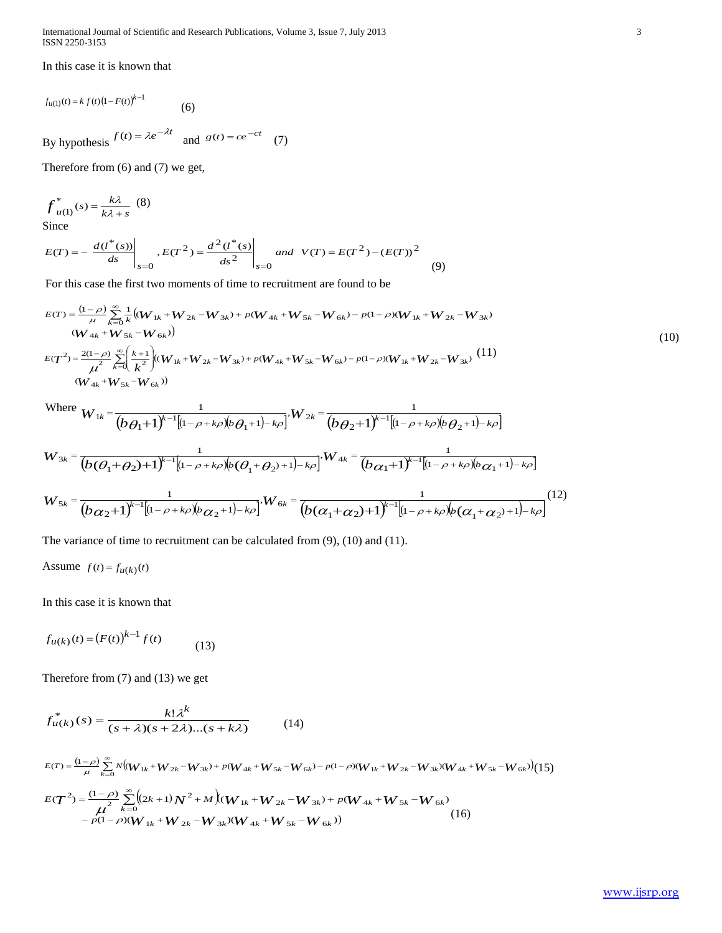International Journal of Scientific and Research Publications, Volume 3, Issue 7, July 2013 3 ISSN 2250-3153

In this case it is known that

$$
f_{u(1)}(t) = k f(t) (1 - F(t))^{k-1}
$$
 (6)

By hypothesis  $f(t) = \lambda e^{-\lambda t}$  and  $g(t) = ce^{-ct}$  (7)

Therefore from (6) and (7) we get,

$$
f^*_{u(1)}(s) = \frac{k\lambda}{k\lambda + s} \tag{8}
$$

Since

$$
E(T) = -\left. \frac{d(l^*(s))}{ds} \right|_{s=0}, E(T^2) = \frac{d^2(l^*(s))}{ds^2} \bigg|_{s=0} \text{ and } V(T) = E(T^2) - (E(T))^2 \tag{9}
$$

For this case the first two moments of time to recruitment are found to be

$$
E(T) = \frac{(1-\rho)}{\mu} \sum_{k=0}^{\infty} \frac{1}{k} ((W_{1k} + W_{2k} - W_{3k}) + p(W_{4k} + W_{5k} - W_{6k}) - p(1-\rho)(W_{1k} + W_{2k} - W_{3k})
$$
  
\n
$$
(W_{4k} + W_{5k} - W_{6k}))
$$
  
\n
$$
E(T^2) = \frac{2(1-\rho)}{\mu^2} \sum_{k=0}^{\infty} \left(\frac{k+1}{k^2}\right) ((W_{1k} + W_{2k} - W_{3k}) + p(W_{4k} + W_{5k} - W_{6k}) - p(1-\rho)(W_{1k} + W_{2k} - W_{3k})
$$
  
\n
$$
(W_{4k} + W_{5k} - W_{6k}))
$$
  
\n(11)

 $W<sub>h</sub>$ 

Where 
$$
W_{1k} = \frac{1}{(b\theta_1 + 1)^{k-1}[(1-\rho + k\rho)(b\theta_1 + 1) - k\rho]}, W_{2k} = \frac{1}{(b\theta_2 + 1)^{k-1}[(1-\rho + k\rho)(b\theta_2 + 1) - k\rho]}
$$
  
\n
$$
W_{3k} = \frac{1}{(b(\theta_1 + \theta_2) + 1)^{k-1}[(1-\rho + k\rho)(b(\theta_1 + \theta_2) + 1) - k\rho]}, W_{4k} = \frac{1}{(b\alpha_1 + 1)^{k-1}[(1-\rho + k\rho)(b\alpha_1 + 1) - k\rho]}
$$
  
\n
$$
W_{5k} = \frac{1}{(b\alpha_2 + 1)^{k-1}[(1-\rho + k\rho)(b\alpha_2 + 1) - k\rho]}, W_{6k} = \frac{1}{(b(\alpha_1 + \alpha_2) + 1)^{k-1}[(1-\rho + k\rho)(b(\alpha_1 + \alpha_2) + 1) - k\rho]}
$$
(12)

The variance of time to recruitment can be calculated from (9), (10) and (11).

Assume 
$$
f(t) = f_{u(k)}(t)
$$

In this case it is known that

$$
f_{u(k)}(t) = (F(t))^{k-1} f(t)
$$
 (13)

Therefore from (7) and (13) we get

$$
f_{u(k)}^*(s) = \frac{k! \lambda^k}{(s + \lambda)(s + 2\lambda)...(s + k\lambda)}
$$
(14)

$$
E(T) = \frac{(1-\rho)}{\mu} \sum_{k=0}^{\infty} N \big( (W_{1k} + W_{2k} - W_{3k}) + p(W_{4k} + W_{5k} - W_{6k}) - p(1-\rho)(W_{1k} + W_{2k} - W_{3k})(W_{4k} + W_{5k} - W_{6k}) \big) (15)
$$
  
\n
$$
E(T^2) = \frac{(1-\rho)}{\mu^2} \sum_{k=0}^{\infty} \big( (2k+1)N^2 + M \big) (W_{1k} + W_{2k} - W_{3k}) + p(W_{4k} + W_{5k} - W_{6k}) - p(1-\rho)(W_{1k} + W_{2k} - W_{3k})(W_{4k} + W_{5k} - W_{6k}) \big) (16)
$$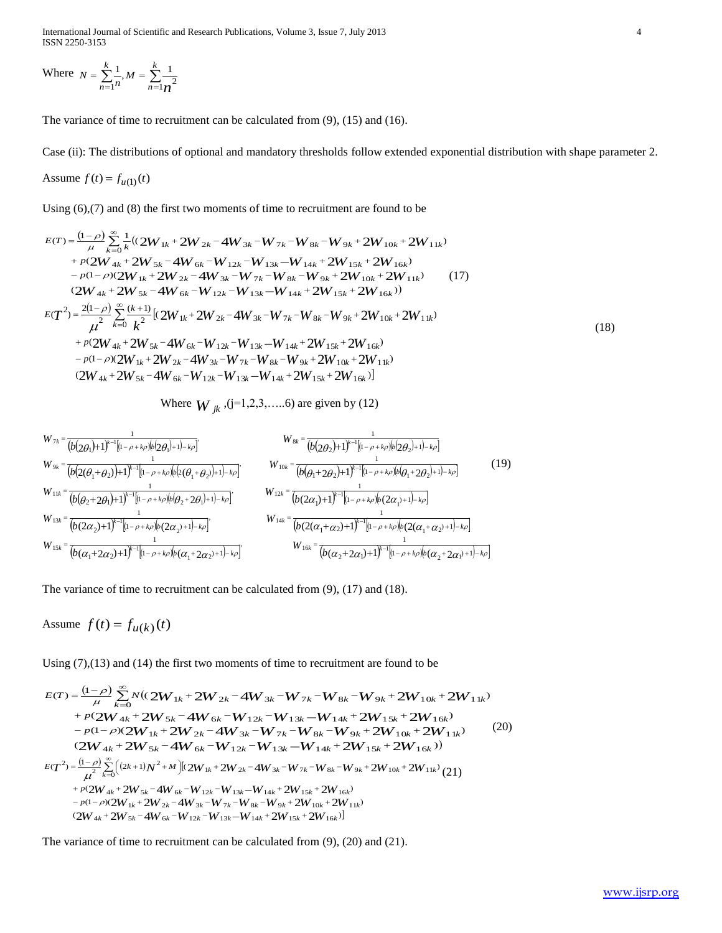Where  $N = \sum_{n=1}^{\infty} \frac{1}{n}$ ,  $M = \sum_{n=1}^{\infty}$  $=\sum_{k=1}^{k} \frac{1}{k} M = \sum_{k=1}^{k} M_k$ *n k*  $N = \sum_{n=1}^{n} \frac{1}{n}, M = \sum_{n=1}^{n} \frac{1}{n}$  $\sum_{n=1}^{\infty}$   $\frac{1}{n}$   $\frac{2}{n-1}$   $\frac{2}{n^2}$  $\frac{1}{2}, M = \sum_{n=1}^{k} \frac{1}{n}$ 

The variance of time to recruitment can be calculated from (9), (15) and (16).

Case (ii): The distributions of optional and mandatory thresholds follow extended exponential distribution with shape parameter 2.

Assume 
$$
f(t) = f_{u(1)}(t)
$$

Using (6),(7) and (8) the first two moments of time to recruitment are found to be

$$
E(T) = \frac{(1-\rho)}{\mu} \sum_{k=0}^{\infty} \frac{1}{k} ((2W_{1k} + 2W_{2k} - 4W_{3k} - W_{7k} - W_{8k} - W_{9k} + 2W_{10k} + 2W_{11k})
$$
  
+  $p(2W_{4k} + 2W_{5k} - 4W_{6k} - W_{12k} - W_{13k} - W_{14k} + 2W_{15k} + 2W_{16k})$   
-  $p(1-\rho)(2W_{1k} + 2W_{2k} - 4W_{3k} - W_{7k} - W_{8k} - W_{9k} + 2W_{10k} + 2W_{11k})$   
+  $p(2W_{4k} + 2W_{5k} - 4W_{6k} - W_{12k} - W_{13k} - W_{14k} + 2W_{15k} + 2W_{16k})$   

$$
E(T^{2}) = \frac{2(1-\rho)}{\mu^{2}} \sum_{k=0}^{\infty} \frac{(k+1)}{k^{2}} [(2W_{1k} + 2W_{2k} - 4W_{3k} - W_{7k} - W_{8k} - W_{9k} + 2W_{10k} + 2W_{11k})
$$
  
+  $p(2W_{4k} + 2W_{5k} - 4W_{6k} - W_{12k} - W_{13k} - W_{14k} + 2W_{15k} + 2W_{16k})$   
-  $p(1-\rho)(2W_{1k} + 2W_{2k} - 4W_{3k} - W_{7k} - W_{8k} - W_{9k} + 2W_{10k} + 2W_{11k})$   
+  $2W_{4k} + 2W_{5k} - 4W_{6k} - W_{12k} - W_{13k} - W_{14k} + 2W_{15k} + 2W_{16k})$  (18)

Where  $W_{jk}$ , (j=1,2,3,.....6) are given by (12)

$$
W_{1k} = \frac{1}{(b(2\theta_1)+1)^{k-1}[(1-\rho+k\rho)(b(2\theta_1)+1)-k\rho]}\nW_{9k} = \frac{1}{(b(2(\theta_1+\theta_2))+1)^{k-1}[(1-\rho+k\rho)(b(2\theta_1+\theta_2)+1)-k\rho]}\nW_{11k} = \frac{1}{(b(\theta_2+2\theta_1)+1)^{k-1}[(1-\rho+k\rho)(b(\theta_2+2\theta_1)+1)-k\rho]}\nW_{12k} = \frac{1}{(b(\theta_1+2\theta_2)+1)^{k-1}[(1-\rho+k\rho)(b(\theta_1+2\theta_2)+1)-k\rho]}\nW_{13k} = \frac{1}{(b(2\alpha_2)+1)^{k-1}[(1-\rho+k\rho)(b(\theta_2+2\theta_1)+1)-k\rho]}\nW_{14k} = \frac{1}{(b(2\alpha_1)+1)^{k-1}[(1-\rho+k\rho)(b(2\alpha_1)+1)-k\rho]}\nW_{15k} = \frac{1}{(b(\alpha_1+2\alpha_2)+1)^{k-1}[(1-\rho+k\rho)(b(2\alpha_1+\alpha_2)+1)-k\rho]}\nW_{16k} = \frac{1}{(b(\alpha_1+2\alpha_1)+1)^{k-1}[(1-\rho+k\rho)(b(\alpha_1+2\alpha_2)+1)-k\rho]}\nW_{16k} = \frac{1}{(b(\alpha_2+2\alpha_1)+1)^{k-1}[(1-\rho+k\rho)(b(\alpha_2+2\alpha_1)+1)-k\rho]}\nW_{16k} = \frac{1}{(b(\alpha_2+2\alpha_1)+1)^{k-1}[(1-\rho+k\rho)(b(\alpha_2+2\alpha_1)+1)-k\rho]}\nW_{16k} = \frac{1}{(b(\alpha_2+2\alpha_1)+1)^{k-1}[(1-\rho+k\rho)(b(\alpha_2+2\alpha_1)+1)-k\rho]}\nW_{16k} = \frac{1}{(b(\alpha_2+2\alpha_1)+1)^{k-1}[(1-\rho+k\rho)(b(\alpha_2+2\alpha_1)+1)-k\rho]}\nW_{16k} = \frac{1}{(b(\alpha_2+2\alpha_1)+1)^{k-1}[(1-\rho+k\rho)(b(\alpha_2+2\alpha_1)+1)-k\rho]}\nW
$$

The variance of time to recruitment can be calculated from (9), (17) and (18).

Assume  $f(t) = f_{u(k)}(t)$ 

Using (7),(13) and (14) the first two moments of time to recruitment are found to be  
\n
$$
E(T) = \frac{(1-\rho)}{\mu} \sum_{k=0}^{\infty} N((2W_{1k} + 2W_{2k} - 4W_{3k} - W_{7k} - W_{8k} - W_{9k} + 2W_{10k} + 2W_{11k}) + p(2W_{4k} + 2W_{5k} - 4W_{6k} - W_{12k} - W_{13k} - W_{14k} + 2W_{15k} + 2W_{16k}) - p(1-\rho)(2W_{1k} + 2W_{2k} - 4W_{3k} - W_{7k} - W_{8k} - W_{9k} + 2W_{10k} + 2W_{11k})
$$
\n
$$
(2W_{4k} + 2W_{5k} - 4W_{6k} - W_{12k} - W_{13k} - W_{14k} + 2W_{15k} + 2W_{16k})
$$
\n
$$
E(T^{2}) = \frac{(1-\rho)}{\mu^{2}} \sum_{k=0}^{\infty} \Big( (2k+1)N^{2} + M \Big)[(2W_{1k} + 2W_{2k} - 4W_{3k} - W_{7k} - W_{8k} - W_{9k} + 2W_{10k} + 2W_{11k})]
$$
\n
$$
+ p(2W_{4k} + 2W_{5k} - 4W_{6k} - W_{12k} - W_{13k} - W_{14k} + 2W_{15k} + 2W_{16k}) - p(1-\rho)(2W_{1k} + 2W_{2k} - 4W_{3k} - W_{7k} - W_{8k} - W_{9k} + 2W_{10k} + 2W_{11k})
$$
\n
$$
(2W_{4k} + 2W_{5k} - 4W_{6k} - W_{12k} - W_{13k} - W_{14k} + 2W_{15k} + 2W_{16k})]
$$

The variance of time to recruitment can be calculated from (9), (20) and (21).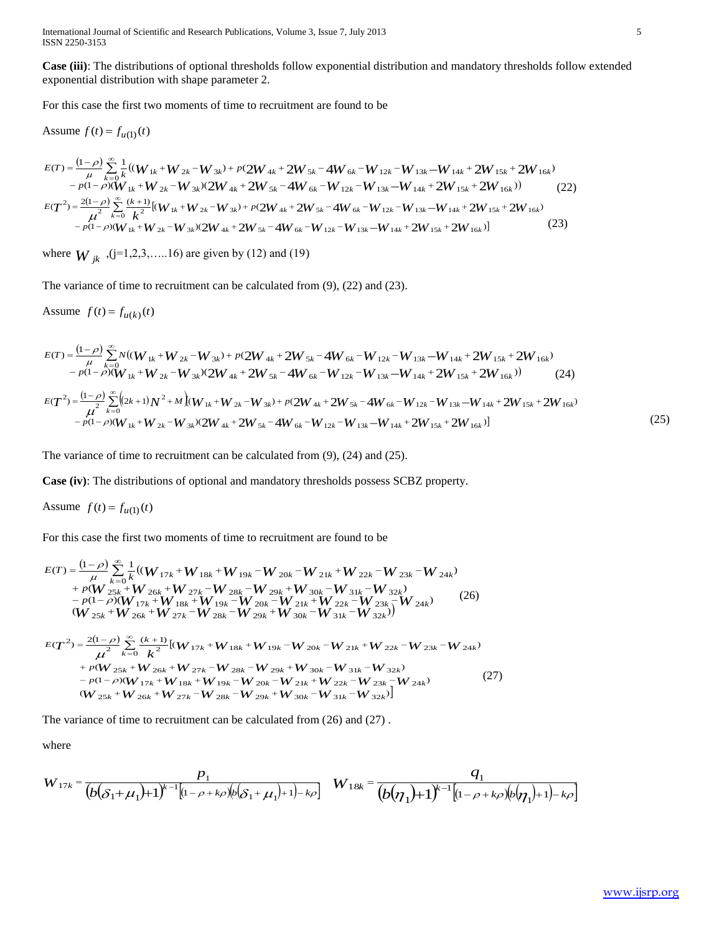International Journal of Scientific and Research Publications, Volume 3, Issue 7, July 2013 5 ISSN 2250-3153

**Case (iii)**: The distributions of optional thresholds follow exponential distribution and mandatory thresholds follow extended exponential distribution with shape parameter 2.

For this case the first two moments of time to recruitment are found to be

Assume 
$$
f(t) = f_{u(1)}(t)
$$

$$
E(T) = \frac{(1-\rho)}{\mu} \sum_{k=0}^{\infty} \frac{1}{k} \left( (W_{1k} + W_{2k} - W_{3k}) + p(2W_{4k} + 2W_{5k} - 4W_{6k} - W_{12k} - W_{13k} - W_{14k} + 2W_{15k} + 2W_{16k}) - p(1-\rho)(W_{1k} + W_{2k} - W_{3k})(2W_{4k} + 2W_{5k} - 4W_{6k} - W_{12k} - W_{13k} - W_{14k} + 2W_{15k} + 2W_{16k}) \right)
$$
\n
$$
E(T^{2}) = \frac{2(1-\rho)}{\mu^{2}} \sum_{k=0}^{\infty} \frac{(k+1)}{k^{2}} \left[ (W_{1k} + W_{2k} - W_{3k}) + p(2W_{4k} + 2W_{5k} - 4W_{6k} - W_{12k} - W_{13k} - W_{14k} + 2W_{15k} + 2W_{16k}) - p(1-\rho)(W_{1k} + W_{2k} - W_{3k})(2W_{4k} + 2W_{5k} - 4W_{6k} - W_{12k} - W_{13k} - W_{14k} + 2W_{15k} + 2W_{16k}) \right]
$$
\n
$$
(23)
$$

where  $W_{jk}$ ,  $(j=1,2,3,....16)$  are given by (12) and (19)

The variance of time to recruitment can be calculated from (9), (22) and (23).

Assume  $f(t) = f_{u(k)}(t)$ 

$$
E(T) = \frac{(1-\rho)}{\mu} \sum_{k=0}^{\infty} N((W_{1k} + W_{2k} - W_{3k}) + p(2W_{4k} + 2W_{5k} - 4W_{6k} - W_{12k} - W_{13k} - W_{14k} + 2W_{15k} + 2W_{16k}) - p(1-\rho)(W_{1k} + W_{2k} - W_{3k})(2W_{4k} + 2W_{5k} - 4W_{6k} - W_{12k} - W_{13k} - W_{14k} + 2W_{15k} + 2W_{16k}))
$$
\n
$$
E(T^{2}) = \frac{(1-\rho)}{\mu^{2}} \sum_{k=0}^{\infty} \left( (2k+1)N^{2} + M \right) (W_{1k} + W_{2k} - W_{3k}) + p(2W_{4k} + 2W_{5k} - 4W_{6k} - W_{12k} - W_{13k} - W_{14k} + 2W_{15k} + 2W_{16k}) - p(1-\rho)(W_{1k} + W_{2k} - W_{3k})(2W_{4k} + 2W_{5k} - 4W_{6k} - W_{12k} - W_{13k} - W_{14k} + 2W_{15k} + 2W_{16k})
$$
\n
$$
(25)
$$

The variance of time to recruitment can be calculated from (9), (24) and (25).

**Case (iv)**: The distributions of optional and mandatory thresholds possess SCBZ property.

Assume  $f(t) = f_{u(1)}(t)$ 

For this case the first two moments of time to recruitment are found to be

$$
E(T) = \frac{(1-\rho)}{\mu} \sum_{k=0}^{\infty} \frac{1}{k} ((W_{17k} + W_{18k} + W_{19k} - W_{20k} - W_{21k} + W_{22k} - W_{23k} - W_{24k})
$$
  
+  $p(W_{25k} + W_{26k} + W_{27k} - W_{28k} - W_{29k} + W_{30k} - W_{31k} - W_{32k})$   
-  $p(1-\rho)(W_{17k} + W_{18k} + W_{19k} - W_{20k} - W_{21k} + W_{22k} - W_{23k} - W_{24k})$   
( $W_{25k} + W_{26k} + W_{27k} - W_{28k} - W_{29k} + W_{30k} - W_{31k} - W_{32k})$ )  

$$
E(T^2) = \frac{2(1-\rho)}{\mu^2} \sum_{k=0}^{\infty} \frac{(k+1)}{k^2} [(W_{17k} + W_{18k} + W_{19k} - W_{20k} - W_{21k} + W_{22k} - W_{23k} - W_{24k})
$$
  
+  $p(W_{25k} + W_{26k} + W_{27k} - W_{28k} - W_{29k} + W_{30k} - W_{31k} - W_{32k})$   
-  $p(1-\rho)(W_{17k} + W_{18k} + W_{19k} - W_{20k} - W_{21k} + W_{22k} - W_{23k} - W_{24k})$   
(27)  
 $W_{25k} + W_{26k} + W_{27k} - W_{28k} - W_{29k} + W_{30k} - W_{31k} - W_{32k})$ 

The variance of time to recruitment can be calculated from (26) and (27) .

where

$$
W_{17k} = \frac{p_1}{(b(\delta_1 + \mu_1) + 1)^{k-1}[(1-\rho + k\rho)(b(\delta_1 + \mu_1) + 1) - k\rho]} \quad W_{18k} = \frac{q_1}{(b(\eta_1) + 1)^{k-1}[(1-\rho + k\rho)(b(\eta_1) + 1) - k\rho]}
$$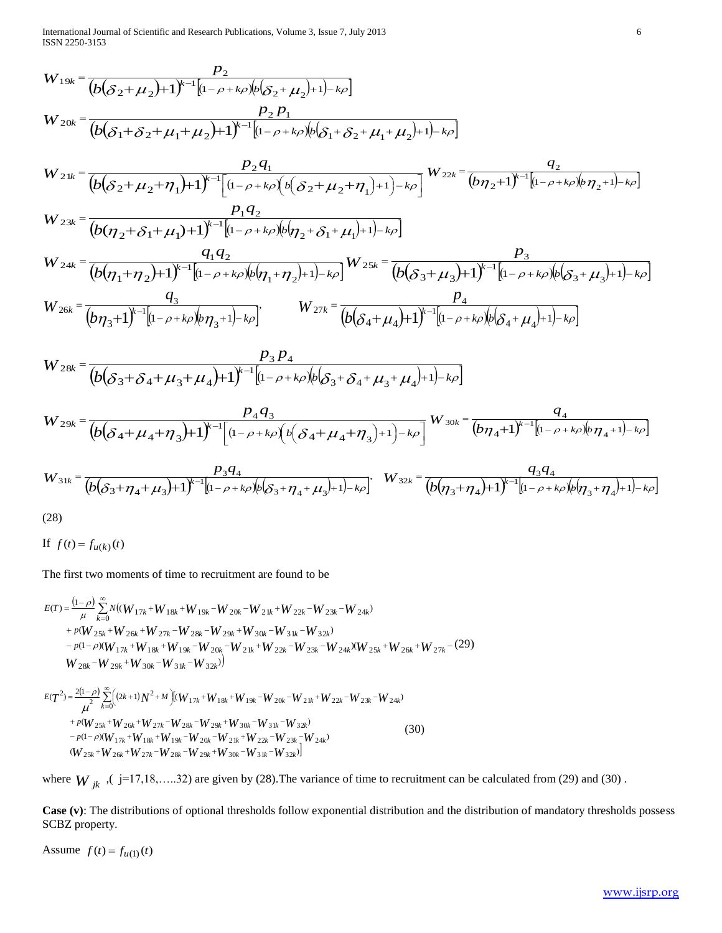International Journal of Scientific and Research Publications, Volume 3, Issue 7, July 2013 6 ISSN 2250-3153

W<sub>19k</sub> = 
$$
\frac{P_2}{(b(\delta_2+\mu_2)+1)^{k-1}[b-\rho+k\rho b(\delta_2+\mu_1)+1)-k\rho]}
$$
  
\nW<sub>20k</sub> =  $\frac{P_2 P_1}{(b(\delta_1+\delta_2+\mu_1+\mu_2)+1)^{k-1}[(-\rho+k\rho b(\delta_1+\delta_2+\mu_1+\mu_2)+1)-k\rho]}$   
\nW<sub>2k</sub> =  $\frac{P_2 Q_1}{(b(\delta_2+\mu_2+\eta_1)+1)^{k-1}[(-\rho+k\rho b(\delta_1+\delta_2+\mu_1+\mu_2)+1)-k\rho]}$   
\nW<sub>2k</sub> =  $\frac{P_1 Q_2}{(b(\eta_2+\delta_1+\mu_1)+1)^{k-1}[(-\rho+k\rho b(\eta_2+\delta_1+\mu_1)+1)-k\rho]}$   
\nW<sub>2k</sub> =  $\frac{P_1 Q_2}{(b(\eta_2+\delta_1+\mu_1)+1)^{k-1}[(-\rho+k\rho b(\eta_2+\delta_1+\mu_1)+1)-k\rho]}$   
\nW<sub>2k</sub> =  $\frac{Q_1 Q_2}{(b(\eta_2+\eta_2)+1)^{k-1}[(-\rho+k\rho b(\eta_2+\eta_2)+1)-k\rho]}$   
\nW<sub>2k</sub> =  $\frac{Q_1 Q_2}{(b(\eta_2+\eta_2)+1)^{k-1}[(-\rho+k\rho b(\eta_2+\eta_2)+1)-k\rho]}$   
\nW<sub>2k</sub> =  $\frac{P_2 P_3}{(b(\delta_3+\delta_4+\mu_3+\mu_4)+1)^{k-1}[(-\rho+k\rho b(\delta_3+\delta_4+\mu_3+\mu_4)+1)-k\rho]}$   
\nW<sub>2k</sub> =  $\frac{P_2 P_3}{(b(\delta_3+\delta_4+\mu_3+\mu_4)+1)^{k-1}[(-\rho+k\rho b(\delta_3+\delta_4+\mu_3+\mu_4)+1)-k\rho]}$   
\nW<sub>2k</sub> =  $\frac{P_2 Q_3}{(b(\delta_3+\mu_4+\mu_3)+1)^{k-1}[(-\rho+k\rho b(\delta_3+\delta_4+\mu_3+\mu_4)+1)-k\rho]}$   
\nW<sub>2k</sub>

$$
W_{24k} = \frac{q_1 q_2}{(b(\eta_1 + \eta_2) + 1)^{k-1} \left[ (1 - \rho + k\rho)(b(\eta_1 + \eta_2) + 1) - k\rho \right]} W_{25k} = \frac{P_3}{(b(\delta_3 + \mu_3) + 1)^{k-1} \left[ (1 - \rho + k\rho)(b(\delta_3 + \mu_3) + 1) - k\rho \right]}
$$
  
\n
$$
W_{26k} = \frac{q_3}{(b\eta_3 + 1)^{k-1} \left[ (1 - \rho + k\rho)(b\eta_3 + 1) - k\rho \right]}, \qquad W_{27k} = \frac{P_4}{(b(\delta_4 + \mu_4) + 1)^{k-1} \left[ (1 - \rho + k\rho)(b(\delta_4 + \mu_4) + 1) - k\rho \right]}
$$

$$
W_{28k} = \frac{P_3 P_4}{\left(b(\delta_3 + \delta_4 + \mu_3 + \mu_4) + 1\right)^{k-1} \left[1 - \rho + k\rho\right] \left(b(\delta_3 + \delta_4 + \mu_3 + \mu_4) + 1\right) - k\rho}
$$

$$
W_{29k} = \frac{p_4 q_3}{(b(\delta_4 + \mu_4 + \eta_3) + 1)^{k-1} \left[ (1 - \rho + k\rho) \left( b(\delta_4 + \mu_4 + \eta_3) + 1 \right) - k\rho \right]} W_{30k} = \frac{q_4}{(b\eta_4 + 1)^{k-1} \left[ (1 - \rho + k\rho) (b\eta_4 + 1) - k\rho \right]}
$$

$$
W_{31k} = \frac{p_3 q_4}{(b(\delta_3 + \eta_4 + \mu_3) + 1)^{k-1}[(1 - \rho + k\rho)(b(\delta_3 + \eta_4 + \mu_3) + 1) - k\rho]}, \quad W_{32k} = \frac{q_3 q_4}{(b(\eta_3 + \eta_4) + 1)^{k-1}[(1 - \rho + k\rho)(b(\eta_3 + \eta_4) + 1) - k\rho]}
$$

(28)

If  $f(t) = f_{u(k)}(t)$ 

The first two moments of time to recruitment are found to be  
\n
$$
E(T) = \frac{(1-\rho)}{\mu} \sum_{k=0}^{\infty} N((W_{17k} + W_{18k} + W_{19k} - W_{20k} - W_{21k} + W_{22k} - W_{23k} - W_{24k})
$$
\n
$$
+ p(W_{25k} + W_{26k} + W_{27k} - W_{28k} - W_{29k} + W_{30k} - W_{31k} - W_{32k})
$$
\n
$$
- p(1-\rho)(W_{17k} + W_{18k} + W_{19k} - W_{20k} - W_{21k} + W_{22k} - W_{23k} - W_{24k})(W_{25k} + W_{26k} + W_{27k} - (29))
$$
\n
$$
W_{28k} - W_{29k} + W_{30k} - W_{31k} - W_{32k})
$$
\n
$$
E(T^{2}) = \frac{2(1-\rho)}{\mu^{2}} \sum_{k=0}^{\infty} \Big( (2k+1)N^{2} + M \Big) [(W_{17k} + W_{18k} + W_{19k} - W_{20k} - W_{21k} + W_{22k} - W_{23k} - W_{24k}) + p(W_{25k} + W_{26k} + W_{27k} - W_{28k} - W_{29k} + W_{30k} - W_{31k} - W_{32k})
$$
\n
$$
+ p(W_{25k} + W_{26k} + W_{27k} - W_{28k} - W_{29k} + W_{30k} - W_{31k} - W_{32k})
$$
\n
$$
= p(1-p)(W_{11} + W_{12} - W_{22k} - W_{23k} - W_{23k})
$$
\n(30)

$$
\mu_{k=0}^{H} + p(W_{25k} + W_{26k} + W_{27k} - W_{28k} - W_{29k} + W_{30k} - W_{31k} - W_{32k})
$$
  
\n
$$
- p(1-p)(W_{17k} + W_{18k} + W_{19k} - W_{20k} - W_{21k} + W_{22k} - W_{23k} - W_{24k})
$$
  
\n
$$
(W_{25k} + W_{26k} + W_{27k} - W_{28k} - W_{29k} + W_{30k} - W_{31k} - W_{32k})
$$
\n
$$
(30)
$$

where  $W_{jk}$ , ( j=17,18,.....32) are given by (28). The variance of time to recruitment can be calculated from (29) and (30).

**Case (v)**: The distributions of optional thresholds follow exponential distribution and the distribution of mandatory thresholds possess SCBZ property.

Assume  $f(t) = f_{u(1)}(t)$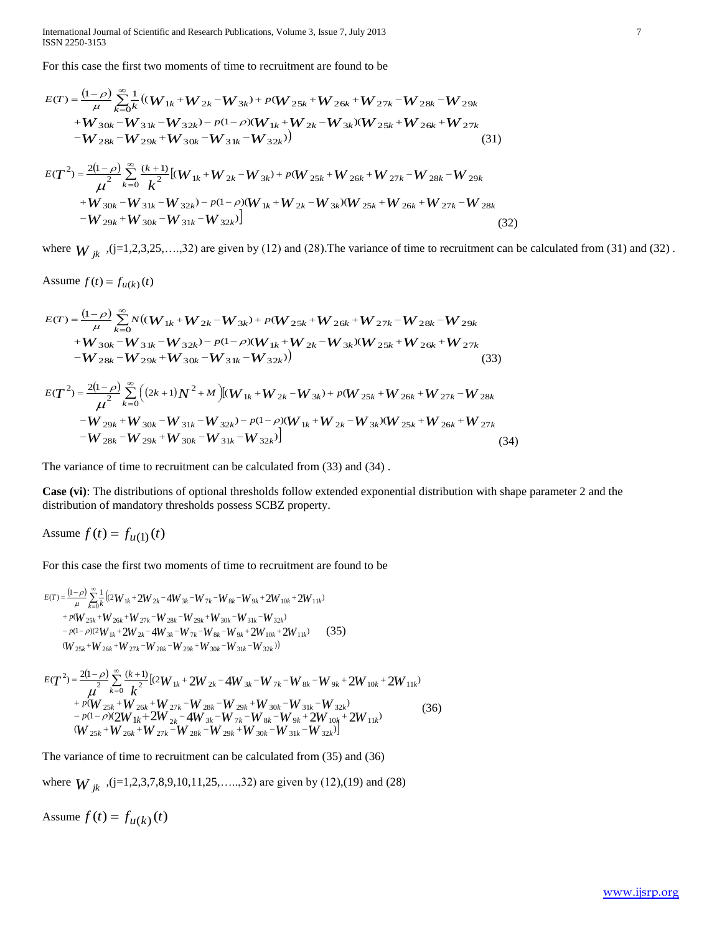International Journal of Scientific and Research Publications, Volume 3, Issue 7, July 2013 7 ISSN 2250-3153

For this case the first two moments of time to recruitment are found to be  
\n
$$
E(T) = \frac{(1-\rho)}{\mu} \sum_{k=0}^{\infty} \frac{1}{k} ((W_{1k} + W_{2k} - W_{3k}) + p(W_{25k} + W_{26k} + W_{27k} - W_{28k} - W_{29k} + W_{30k} - W_{31k} - W_{32k}) - p(1-\rho)(W_{1k} + W_{2k} - W_{3k})(W_{25k} + W_{26k} + W_{27k} - W_{28k} - W_{29k} + W_{30k} - W_{31k} - W_{32k}))
$$
\n(31)  
\n
$$
E(T^2) = \frac{2(1-\rho)}{\mu^2} \sum_{k=0}^{\infty} \frac{(k+1)}{k^2} [(W_{1k} + W_{2k} - W_{3k}) + p(W_{25k} + W_{26k} + W_{27k} - W_{28k} - W_{29k} + W_{30k} - W_{31k} - W_{32k}) - p(1-\rho)(W_{1k} + W_{2k} - W_{3k})(W_{25k} + W_{26k} + W_{27k} - W_{28k} - W_{29k} + W_{30k} - W_{31k} - W_{32k})]
$$
\n(32)

where  $W_{jk}$ , (j=1,2,3,25,...,32) are given by (12) and (28). The variance of time to recruitment can be calculated from (31) and (32).

Assume  $f(t) = f_{u(k)}(t)$ 

$$
E(T) = \frac{(1-\rho)}{\mu} \sum_{k=0}^{\infty} N((W_{1k} + W_{2k} - W_{3k}) + p(W_{25k} + W_{26k} + W_{27k} - W_{28k} - W_{29k} + W_{30k} - W_{31k} - W_{32k}) - p(1-\rho)(W_{1k} + W_{2k} - W_{3k})(W_{25k} + W_{26k} + W_{27k} - W_{28k} - W_{29k} + W_{30k} - W_{31k} - W_{32k})
$$
\n(33)

$$
E(T^{2}) = \frac{2(1-\rho)}{\mu^{2}} \sum_{k=0}^{\infty} \Big( (2k+1)N^{2} + M \Big) [(W_{1k} + W_{2k} - W_{3k}) + p(W_{25k} + W_{26k} + W_{27k} - W_{28k} - W_{29k} + W_{30k} - W_{31k} - W_{32k}) - p(1-\rho)(W_{1k} + W_{2k} - W_{3k}) (W_{25k} + W_{26k} + W_{27k} - W_{28k} - W_{29k} + W_{30k} - W_{31k} - W_{32k}) \Big]
$$
\n(34)

The variance of time to recruitment can be calculated from (33) and (34) .

**Case (vi)**: The distributions of optional thresholds follow extended exponential distribution with shape parameter 2 and the distribution of mandatory thresholds possess SCBZ property.

Assume  $f(t) = f_{u(1)}(t)$ 

For this case the first two moments of time to recruitment are found to be

$$
E(T) = \frac{(1-\rho)}{\mu} \sum_{k=0}^{\infty} \frac{1}{k} \Big( (2W_{1k} + 2W_{2k} - 4W_{3k} - W_{7k} - W_{8k} - W_{9k} + 2W_{10k} + 2W_{11k}) + p(W_{25k} + W_{26k} + W_{27k} - W_{28k} - W_{29k} + W_{30k} - W_{31k} - W_{32k}) - p(1-\rho)(2W_{1k} + 2W_{2k} - 4W_{3k} - W_{7k} - W_{8k} - W_{9k} + 2W_{10k} + 2W_{11k}) - (35) + (W_{25k} + W_{20k} + W_{27k} - W_{28k} - W_{29k} + W_{30k} - W_{31k} - W_{32k}) \Big)
$$

$$
E(T^{2}) = \frac{2(1-\rho)}{\mu^{2}} \sum_{k=0}^{\infty} \frac{(k+1)}{k^{2}} [ (2W_{1k} + 2W_{2k} - 4W_{3k} - W_{7k} - W_{8k} - W_{9k} + 2W_{10k} + 2W_{11k}) + p(W_{25k} + W_{26k} + W_{27k} - W_{28k} - W_{29k} + W_{30k} - W_{31k} - W_{32k}) - p(1-\rho)(2W_{1k} + 2W_{2k} - 4W_{3k} - W_{7k} - W_{8k} - W_{9k} + 2W_{10k} + 2W_{11k})
$$
(36)  

$$
(W_{25k} + W_{26k} + W_{27k} - W_{28k} - W_{29k} + W_{30k} - W_{31k} - W_{32k}) ]
$$

The variance of time to recruitment can be calculated from (35) and (36)

where  $W_{jk}$ , (j=1,2,3,7,8,9,10,11,25,....,32) are given by (12),(19) and (28)

Assume  $f(t) = f_{u(k)}(t)$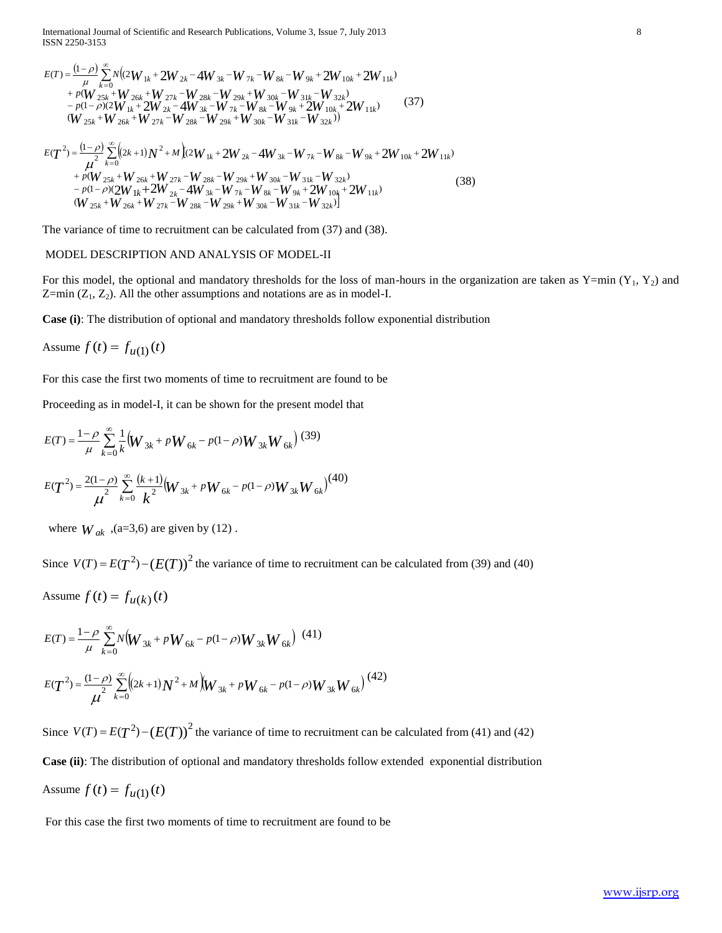International Journal of Scientific and Research Publications, Volume 3, Issue 7, July 2013 8 ISSN 2250-3153

$$
E(T) = \frac{(1-\rho)}{\mu} \sum_{k=0}^{\infty} N \Big( (2W_{1k} + 2W_{2k} - 4W_{3k} - W_{7k} - W_{8k} - W_{9k} + 2W_{10k} + 2W_{11k}) + \rho (W_{25k} + W_{26k} + W_{27k} - W_{28k} - W_{29k} + W_{30k} - W_{31k} - W_{32k}) - \rho (1-\rho)(2W_{1k} + 2W_{2k} - 4W_{3k} - W_{7k} - W_{8k} - W_{9k} + 2W_{10k} + 2W_{11k})
$$
(37)  

$$
\Big( W_{25k} + W_{26k} + W_{27k} - W_{28k} - W_{29k} + W_{30k} - W_{31k} - W_{32k} \Big)
$$
(37)  

$$
E(T^2) = \frac{(1-\rho)}{\mu^2} \sum_{k=0}^{\infty} \Big( (2k+1)N^2 + M \Big) (2W_{1k} + 2W_{2k} - 4W_{3k} - W_{7k} - W_{8k} - W_{9k} + 2W_{10k} + 2W_{11k}) + \rho (W_{25k} + W_{26k} + W_{27k} - W_{28k} - W_{29k} + W_{30k} - W_{31k} - W_{32k}) - \rho (1-\rho)(2W_{1k} + 2W_{2k} - 4W_{3k} - W_{7k} - W_{8k} - W_{9k} + 2W_{10k} + 2W_{11k}) \Big( W_{25k} + W_{25k} + W_{32k} - W_{32k} - W_{32k} - W_{32k} - W_{32k} - W_{32k}) \Big)
$$
(38)

 $_{25k}$  = VV  $_{26k}$  = VV  $_{27k}$  = VV  $_{28k}$  = VV  $_{29k}$  = VV  $_{30k}$  = VV  $_{31k}$  = VV  $_{32k}$  $k$  <sup>k</sup> *W*  $26k$  <sup>k</sup> *W*  $27k$  <sup>k</sup> *W*  $28k$  <sup>k</sup> *W*  $29k$  <sup>k</sup> *W*  $30k$  <sup>k</sup> *W*  $31k$  <sup>k</sup> *W*  $32k$ The variance of time to recruitment can be calculated from (37) and (38).

 $W_{\ 25k}$  +  $W_{\ 26k}$  +  $W_{\ 27k}$  –  $W_{\ 28k}$  –  $W_{\ 29k}$  +  $W_{\ 30k}$  –  $W_{\ 31k}$  –  $W_{\ 3k}$ 

 $+W_{25k}+W_{27k}-W_{22k}-W_{20k}+W_{20k}-W_{21k}-W_{21k}$ 

#### MODEL DESCRIPTION AND ANALYSIS OF MODEL-II

For this model, the optional and mandatory thresholds for the loss of man-hours in the organization are taken as  $Y=min(Y_1, Y_2)$  and Z=min  $(Z_1, Z_2)$ . All the other assumptions and notations are as in model-I.

**Case (i)**: The distribution of optional and mandatory thresholds follow exponential distribution

Assume  $f(t) = f_{u(1)}(t)$ 

For this case the first two moments of time to recruitment are found to be

Proceeding as in model-I, it can be shown for the present model that

$$
E(T) = \frac{1-\rho}{\mu} \sum_{k=0}^{\infty} \frac{1}{k} \left( W_{3k} + p W_{6k} - p(1-\rho) W_{3k} W_{6k} \right) (39)
$$
  

$$
E(T^2) = \frac{2(1-\rho)}{\mu^2} \sum_{k=0}^{\infty} \frac{(k+1)}{k^2} \left( W_{3k} + p W_{6k} - p(1-\rho) W_{3k} W_{6k} \right) (40)
$$

where  $W_{ak}$ ,  $(a=3,6)$  are given by (12).

Since  $V(T) = E(T^2) - (E(T))^2$  the variance of time to recruitment can be calculated from (39) and (40)

Assume  $f(t) = f_{u(k)}(t)$ 

$$
E(T) = \frac{1-\rho}{\mu} \sum_{k=0}^{\infty} N \Big( W_{3k} + p W_{6k} - p(1-\rho) W_{3k} W_{6k} \Big) (41)
$$
  

$$
E(T^2) = \frac{(1-\rho)}{\mu^2} \sum_{k=0}^{\infty} \Big( (2k+1) N^2 + M \Big) W_{3k} + p W_{6k} - p(1-\rho) W_{3k} W_{6k} \Big) (42)
$$

Since  $V(T) = E(T^2) - (E(T))^2$  the variance of time to recruitment can be calculated from (41) and (42) **Case (ii)**: The distribution of optional and mandatory thresholds follow extended exponential distribution Assume  $f(t) = f_{u(1)}(t)$ 

For this case the first two moments of time to recruitment are found to be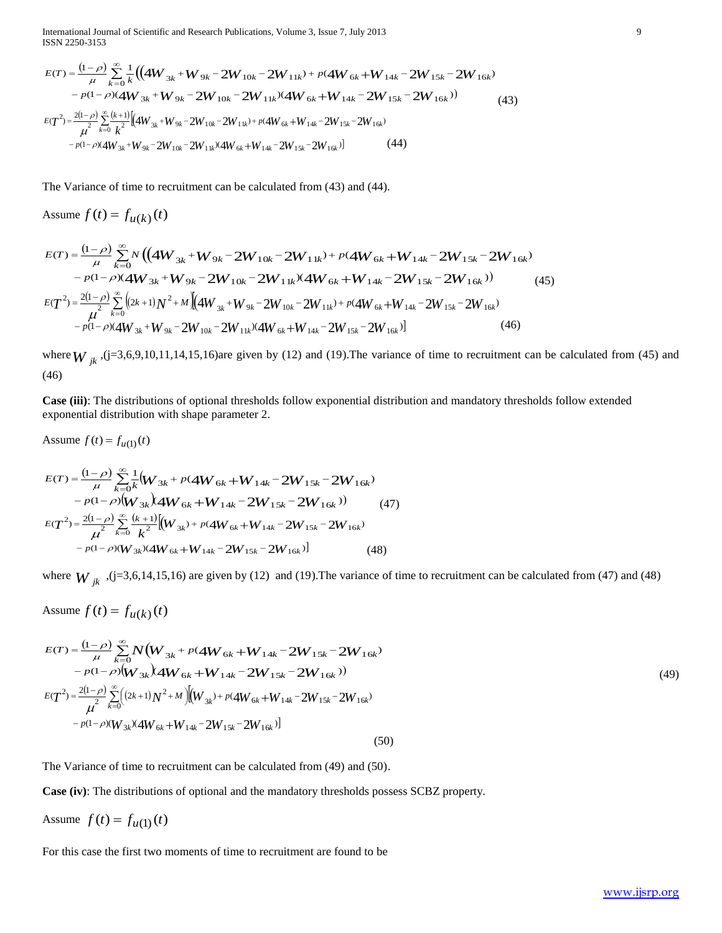International Journal of Scientific and Research Publications, Volume 3, Issue 7, July 2013 9 ISSN 2250-3153

$$
E(T) = \frac{(1-\rho)}{\mu} \sum_{k=0}^{\infty} \frac{1}{k} \left( \left( 4W_{3k} + W_{9k} - 2W_{10k} - 2W_{11k} \right) + p(4W_{6k} + W_{14k} - 2W_{15k} - 2W_{16k}) - p(1-\rho)(4W_{3k} + W_{9k} - 2W_{10k} - 2W_{11k})(4W_{6k} + W_{14k} - 2W_{15k} - 2W_{16k}) \right)
$$
\n
$$
E(T^{2}) = \frac{2(1-\rho)}{\mu^{2}} \sum_{k=0}^{\infty} \frac{(k+1)}{k^{2}} \left[ \left( 4W_{3k} + W_{9k} - 2W_{10k} - 2W_{11k} \right) + p(4W_{6k} + W_{14k} - 2W_{15k} - 2W_{16k}) - p(1-\rho)(4W_{3k} + W_{9k} - 2W_{10k} - 2W_{11k})(4W_{6k} + W_{14k} - 2W_{15k} - 2W_{16k}) \right]
$$
\n
$$
(44)
$$

The Variance of time to recruitment can be calculated from (43) and (44).

Assume  $f(t) = f_{u(k)}(t)$ 

Assume 
$$
f(t) = f_{u(k)}(t)
$$
  
\n
$$
E(T) = \frac{(1-\rho)}{\mu} \sum_{k=0}^{\infty} N \left( \left( 4W_{3k} + W_{9k} - 2W_{10k} - 2W_{11k} \right) + p(4W_{6k} + W_{14k} - 2W_{15k} - 2W_{16k}) - p(1-\rho)(4W_{3k} + W_{9k} - 2W_{10k} - 2W_{11k})(4W_{6k} + W_{14k} - 2W_{15k} - 2W_{16k}) \right)
$$
\n
$$
E(T^{2}) = \frac{2(1-\rho)}{\mu^{2}} \sum_{k=0}^{\infty} \left( (2k+1)N^{2} + M \left[ (4W_{3k} + W_{9k} - 2W_{10k} - 2W_{11k}) + p(4W_{6k} + W_{14k} - 2W_{15k} - 2W_{16k}) - p(1-\rho)(4W_{3k} + W_{9k} - 2W_{10k} - 2W_{11k})(4W_{6k} + W_{14k} - 2W_{15k} - 2W_{16k}) \right] \tag{46}
$$

where  $W_{jk}$ ,  $(j=3,6,9,10,11,14,15,16)$  are given by (12) and (19). The variance of time to recruitment can be calculated from (45) and (46)

**Case (iii)**: The distributions of optional thresholds follow exponential distribution and mandatory thresholds follow extended exponential distribution with shape parameter 2.

Assume  $f(t) = f_{u(1)}(t)$  $\frac{(1-\rho)}{\sum_{n=1}^{\infty}}$  $(1-\rho)(W_{3k})4W_{6k} + W_{14k} - 2W_{15k} - 2W_{16k})$  $(T) = \frac{(1-\rho)}{2} \sum_{k=1}^{\infty} \frac{1}{2} (W_{3k} + p(4W_{6k} + W_{14k} - 2W_{15k} - 2W_{16k}))$  $4W_{6k} + W_{14k} - 2W_{15k} - 2$  $(W_{3k} + p(4W_{6k} + W_{14k} - 2W_{15k} - 2)$ <br> $X_{3k}$   $(4W_{6k} + W_{14k} - 2W_{15k} - 2W_{16k})$  $\sum_{k=0}^{\infty} \frac{1}{k} (W_{3k} + p(4W_{6k} + W_{14k} - 2W_{15k} - 2W_{16k}))$ <br> $(W_{3k}) 4W_{6k} + W_{14k} - 2W_{15k} - 2W_{16k})$  $(W_{3k}$  + p(4 $W_{6k}$  +  $W_{14k}$  –  $2W_{15k}$  –  $2W$  $\sum_{k=0}^{K}$  *k*  $\frac{1}{2}$  *k*  $\frac{1}{2}$  *k*  $\frac{1}{2}$  *k*  $\frac{1}{2}$  *k*  $\frac{1}{2}$  *k*  $\frac{1}{2}$  *k*  $\frac{1}{2}$  *k*  $\frac{1}{2}$  *k*  $\frac{1}{2}$  *k*  $\frac{1}{2}$  *k*  $\frac{1}{2}$  *k*  $\frac{1}{2}$  *k*  $\frac{1}{2}$  *k*  $\frac{1}{2}$  *k*  $\frac{1}{2}$ *p*  $E(T) = \frac{(1-\rho)}{\mu} \sum_{k=0}^{1} \frac{1}{k} (W_{3k} + p)$  $-p(1-\rho)(W_{3k})4W_{6k}+W_{14k}-2W_{15k} =\frac{(1-\rho)}{2}\sum_{i=1}^{\infty}\frac{1}{i}[W_{3k}+p(4W_{6k}+W_{14k}-2W_{15k} \ddot{}$  $\sum_{k=1}^{\infty} \frac{1}{k} (W_{3k} + p(4W_{6k} +$ Ę  $\rho$  $\mu$  $\rho$ 

$$
-p(1-\rho)(W_{3k})AW_{6k} + W_{14k} - 2W_{15k} - 2W_{16k})
$$
\n
$$
E(T^{2}) = \frac{2(1-\rho)}{\mu^{2}} \sum_{k=0}^{\infty} \frac{(k+1)}{k^{2}} [(W_{3k}) + p(4W_{6k} + W_{14k} - 2W_{15k} - 2W_{16k}) - p(1-\rho)(W_{3k})(4W_{6k} + W_{14k} - 2W_{15k} - 2W_{16k})]
$$
\n(48)

where  $W_{jk}$ , (j=3,6,14,15,16) are given by (12) and (19). The variance of time to recruitment can be calculated from (47) and (48)

Assume  $f(t) = f_{u(k)}(t)$ 

$$
E(T) = \frac{(1-\rho)}{\mu} \sum_{k=0}^{\infty} N(W_{3k} + p(4W_{6k} + W_{14k} - 2W_{15k} - 2W_{16k})
$$
  
\n
$$
- p(1-\rho)[W_{3k})AW_{6k} + W_{14k} - 2W_{15k} - 2W_{16k})
$$
  
\n
$$
E(T^{2}) = \frac{2(1-\rho)}{\mu^{2}} \sum_{k=0}^{\infty} ((2k+1)N^{2} + M)[(W_{3k}) + p(4W_{6k} + W_{14k} - 2W_{15k} - 2W_{16k})
$$
  
\n
$$
- p(1-\rho)(W_{3k})(4W_{6k} + W_{14k} - 2W_{15k} - 2W_{16k})]
$$
\n(50)

The Variance of time to recruitment can be calculated from (49) and (50).

**Case (iv)**: The distributions of optional and the mandatory thresholds possess SCBZ property.

Assume  $f(t) = f_{u(1)}(t)$ 

For this case the first two moments of time to recruitment are found to be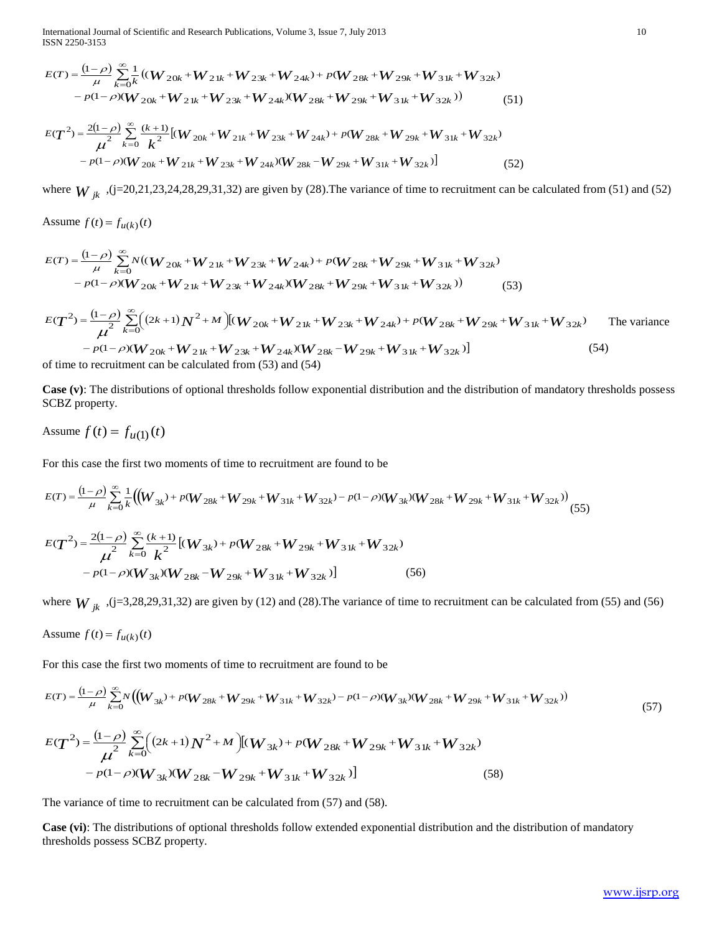International Journal of Scientific and Research Publications, Volume 3, Issue 7, July 2013 10 ISSN 2250-3153

$$
E(T) = \frac{(1-\rho)}{\mu} \sum_{k=0}^{\infty} \frac{1}{k} \left( (W_{20k} + W_{21k} + W_{23k} + W_{24k}) + p(W_{28k} + W_{29k} + W_{31k} + W_{32k}) - p(1-\rho)(W_{20k} + W_{21k} + W_{23k} + W_{24k}) (W_{28k} + W_{29k} + W_{31k} + W_{32k}) \right)
$$
(51)

$$
E(T^{2}) = \frac{2(1-\rho)}{\mu^{2}} \sum_{k=0}^{\infty} \frac{(k+1)}{k^{2}} [(W_{20k} + W_{21k} + W_{23k} + W_{24k}) + p(W_{28k} + W_{29k} + W_{31k} + W_{32k}) - p(1-\rho)(W_{20k} + W_{21k} + W_{23k} + W_{24k}) (W_{28k} - W_{29k} + W_{31k} + W_{32k})]
$$
(52)

where  $W_{jk}$ , (j=20,21,23,24,28,29,31,32) are given by (28). The variance of time to recruitment can be calculated from (51) and (52)

Assume  $f(t) = f_{u(k)}(t)$ 

Assume 
$$
f(t) = f_{u(k)}(t)
$$
  
\n
$$
E(T) = \frac{(1-\rho)}{\mu} \sum_{k=0}^{\infty} N((W_{20k} + W_{21k} + W_{23k} + W_{24k}) + p(W_{28k} + W_{29k} + W_{31k} + W_{32k}) - p(1-\rho)(W_{20k} + W_{21k} + W_{23k} + W_{24k})(W_{28k} + W_{29k} + W_{31k} + W_{32k}))
$$
\n(53)

$$
-p(1-\rho)(W_{20k}+W_{21k}+W_{23k}+W_{24k})(W_{28k}+W_{29k}+W_{31k}+W_{32k}))
$$
\n
$$
E(T^{2}) = \frac{(1-\rho)}{\mu^{2}} \sum_{k=0}^{\infty} \Big((2k+1)N^{2}+M\Big)[(W_{20k}+W_{21k}+W_{23k}+W_{24k})+p(W_{28k}+W_{29k}+W_{31k}+W_{32k})
$$
\nThe variance\n
$$
-p(1-\rho)(W_{20k}+W_{21k}+W_{23k}+W_{24k})(W_{28k}-W_{29k}+W_{31k}+W_{32k})]
$$
\n
$$
= (54)
$$
\nof time to recruitment can be calculated from (53) and (54)

of time to recruitment can be calculated from (53) and (54)

**Case (v)**: The distributions of optional thresholds follow exponential distribution and the distribution of mandatory thresholds possess SCBZ property.

Assume  $f(t) = f_{u(1)}(t)$ 

For this case the first two moments of time to recruitment are found to be

$$
E(T) = \frac{(1-\rho)}{\mu} \sum_{k=0}^{\infty} \frac{1}{k} \Big( \Big( W_{3k} + p(W_{28k} + W_{29k} + W_{31k} + W_{32k}) - p(1-\rho)(W_{3k})(W_{28k} + W_{29k} + W_{31k} + W_{32k}) \Big) \Big) (55)
$$
  
\n
$$
E(T^2) = \frac{2(1-\rho)}{\mu^2} \sum_{k=0}^{\infty} \frac{(k+1)}{k^2} \Big[ (W_{3k} + p(W_{28k} + W_{29k} + W_{31k} + W_{32k}) - p(1-\rho)(W_{3k})(W_{28k} - W_{29k} + W_{31k} + W_{32k}) \Big] \Big) (56)
$$

where  $W_{jk}$ , (j=3,28,29,31,32) are given by (12) and (28). The variance of time to recruitment can be calculated from (55) and (56)

Assume 
$$
f(t) = f_{u(k)}(t)
$$

For this case the first two moments of time to recruitment are found to be

$$
E(T) = \frac{(1-\rho)}{\mu} \sum_{k=0}^{\infty} N \left( \left( W_{3k} \right) + p \left( W_{28k} + W_{29k} + W_{31k} + W_{32k} \right) - p(1-\rho) \left( W_{3k} \right) \left( W_{28k} + W_{29k} + W_{31k} + W_{32k} \right) \right) \tag{57}
$$

$$
E(T^{2}) = \frac{(1-\rho)}{\mu^{2}} \sum_{k=0}^{\infty} \Big( (2k+1)N^{2} + M \Big) [(W_{3k}) + p(W_{28k} + W_{29k} + W_{31k} + W_{32k}) - p(1-\rho)(W_{3k})(W_{28k} - W_{29k} + W_{31k} + W_{32k})] \tag{58}
$$

The variance of time to recruitment can be calculated from (57) and (58).

**Case (vi)**: The distributions of optional thresholds follow extended exponential distribution and the distribution of mandatory thresholds possess SCBZ property.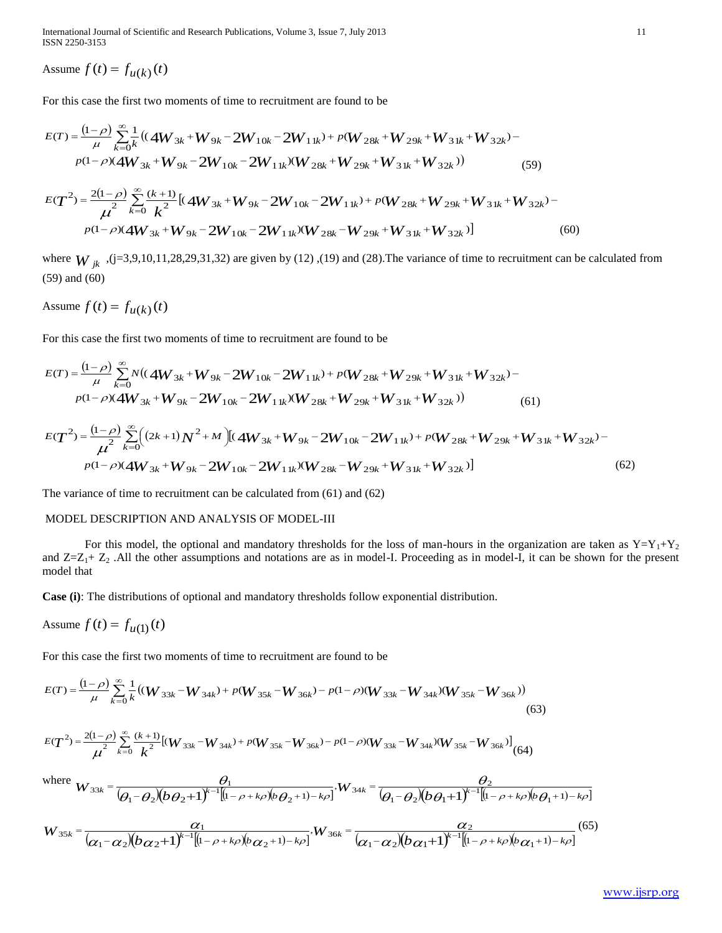International Journal of Scientific and Research Publications, Volume 3, Issue 7, July 2013 11 ISSN 2250-3153

Assume  $f(t) = f_{u(k)}(t)$ 

For this case the first two moments of time to recruitment are found to be  
\n
$$
E(T) = \frac{(1-\rho)}{\mu} \sum_{k=0}^{\infty} \frac{1}{k} \left( (4W_{3k} + W_{9k} - 2W_{10k} - 2W_{11k}) + p(W_{28k} + W_{29k} + W_{31k} + W_{32k}) - p(1-\rho)(4W_{3k} + W_{9k} - 2W_{10k} - 2W_{11k})(W_{28k} + W_{29k} + W_{31k} + W_{32k}) \right)
$$
\n
$$
E(T^2) = \frac{2(1-\rho)}{\mu^2} \sum_{k=0}^{\infty} \frac{(k+1)}{k^2} \left[ (4W_{3k} + W_{9k} - 2W_{10k} - 2W_{11k}) + p(W_{28k} + W_{29k} + W_{31k} + W_{32k}) - p(W_{11k} - W_{11k}) \right]
$$
\n(59)

$$
E(T^{2}) = \frac{2(1-\rho)}{\mu^{2}} \sum_{k=0}^{\infty} \frac{(k+1)}{k^{2}} \left[ (4W_{3k} + W_{9k} - 2W_{10k} - 2W_{11k}) + p(W_{28k} + W_{29k} + W_{31k} + W_{32k}) - p(1-\rho)(4W_{3k} + W_{9k} - 2W_{10k} - 2W_{11k})(W_{28k} - W_{29k} + W_{31k} + W_{32k}) \right]
$$
(60)

where  $W_{jk}$ , (j=3,9,10,11,28,29,31,32) are given by (12), (19) and (28). The variance of time to recruitment can be calculated from (59) and (60)

Assume  $f(t) = f_{u(k)}(t)$ 

For this case the first two moments of time to recruitment are found to be  
\n
$$
E(T) = \frac{(1-\rho)}{\mu} \sum_{k=0}^{\infty} N\left((4W_{3k} + W_{9k} - 2W_{10k} - 2W_{11k}) + p(W_{28k} + W_{29k} + W_{31k} + W_{32k}) -
$$
\n
$$
p(1-\rho)(4W_{3k} + W_{9k} - 2W_{10k} - 2W_{11k})(W_{28k} + W_{29k} + W_{31k} + W_{32k})\right)
$$
\n(61)

$$
p(1-\rho)(4W_{3k}+W_{9k}-2W_{10k}-2W_{11k})(W_{28k}+W_{29k}+W_{31k}+W_{32k}))
$$
\n(61)  
\n
$$
E(T^{2}) = \frac{(1-\rho)}{\mu^{2}} \sum_{k=0}^{\infty} ((2k+1)N^{2}+M) [(4W_{3k}+W_{9k}-2W_{10k}-2W_{11k})+p(W_{28k}+W_{29k}+W_{31k}+W_{32k})-p(1-\rho)(4W_{3k}+W_{9k}-2W_{10k}-2W_{11k})(W_{28k}-W_{29k}+W_{31k}+W_{32k})]
$$
\n(62)

The variance of time to recruitment can be calculated from (61) and (62)

### MODEL DESCRIPTION AND ANALYSIS OF MODEL-III

For this model, the optional and mandatory thresholds for the loss of man-hours in the organization are taken as  $Y=Y_1+Y_2$ and  $Z=Z_1+Z_2$ . All the other assumptions and notations are as in model-I. Proceeding as in model-I, it can be shown for the present model that

**Case (i)**: The distributions of optional and mandatory thresholds follow exponential distribution.

Assume 
$$
f(t) = f_{u(1)}(t)
$$

For this case the first two moments of time to recruitment are found to be

$$
E(T) = \frac{(1-\rho)}{\mu} \sum_{k=0}^{\infty} \frac{1}{k} \left( (W_{33k} - W_{34k}) + p(W_{35k} - W_{36k}) - p(1-\rho)(W_{33k} - W_{34k}) (W_{35k} - W_{36k}) \right)
$$
\n(63)

$$
E(T^{2}) = \frac{2(1-\rho)}{\mu^{2}} \sum_{k=0}^{\infty} \frac{(k+1)}{k^{2}} [(W_{33k} - W_{34k}) + p(W_{35k} - W_{36k}) - p(1-\rho)(W_{33k} - W_{34k})(W_{35k} - W_{36k})] (64)
$$

where 
$$
W_{33k} = \frac{\theta_1}{(\theta_1 - \theta_2)(b\theta_2 + 1)^{k-1}[(1-\rho+k\rho)(b\theta_2+1)-k\rho]}, W_{34k} = \frac{\theta_2}{(\theta_1 - \theta_2)(b\theta_1 + 1)^{k-1}[(1-\rho+k\rho)(b\theta_1+1)-k\rho]}
$$

$$
W_{35k} = \frac{\alpha_1}{(\alpha_1 - \alpha_2)(b\alpha_2 + 1)^{k-1}[(1 - \rho + k\rho)(b\alpha_2 + 1) - k\rho]}, W_{36k} = \frac{\alpha_2}{(\alpha_1 - \alpha_2)(b\alpha_1 + 1)^{k-1}[(1 - \rho + k\rho)(b\alpha_1 + 1) - k\rho]} \tag{65}
$$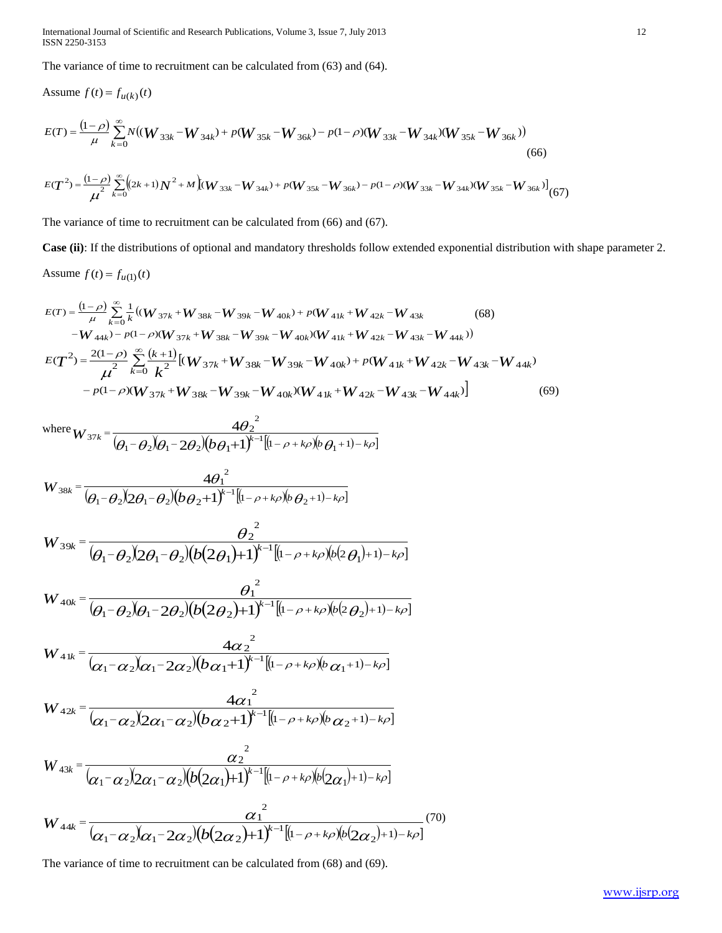International Journal of Scientific and Research Publications, Volume 3, Issue 7, July 2013 12 ISSN 2250-3153

The variance of time to recruitment can be calculated from (63) and (64).

Assume 
$$
f(t) = f_{u(k)}(t)
$$
  
\n
$$
E(T) = \frac{(1-\rho)}{\mu} \sum_{k=0}^{\infty} N((W_{33k} - W_{34k}) + p(W_{35k} - W_{36k}) - p(1-\rho)(W_{33k} - W_{34k})(W_{35k} - W_{36k}))
$$
\n(66)

$$
E(T^{2}) = \frac{(1-\rho)}{\mu^{2}} \sum_{k=0}^{\infty} \Bigl( (2k+1)N^{2} + M \Bigr) (W_{33k} - W_{34k}) + p(W_{35k} - W_{36k}) - p(1-\rho)(W_{33k} - W_{34k})(W_{35k} - W_{36k}) \Bigr] (67)
$$

The variance of time to recruitment can be calculated from (66) and (67).

**Case (ii)**: If the distributions of optional and mandatory thresholds follow extended exponential distribution with shape parameter 2. Assume  $f(t) = f_{u(1)}(t)$ 

$$
E(T) = \frac{(1-\rho)}{\mu} \sum_{k=0}^{\infty} \frac{1}{k} ((W_{37k} + W_{38k} - W_{39k} - W_{40k}) + p(W_{41k} + W_{42k} - W_{43k})
$$
(68)  
\n
$$
-W_{44k}) - p(1-\rho)(W_{37k} + W_{38k} - W_{39k} - W_{40k})(W_{41k} + W_{42k} - W_{43k} - W_{44k}))
$$
  
\n
$$
E(T^{2}) = \frac{2(1-\rho)}{\mu^{2}} \sum_{k=0}^{\infty} \frac{(k+1)}{k^{2}} [(W_{37k} + W_{38k} - W_{39k} - W_{40k}) + p(W_{41k} + W_{42k} - W_{43k} - W_{44k}) -p(1-\rho)(W_{37k} + W_{38k} - W_{39k} - W_{40k})(W_{41k} + W_{42k} - W_{43k} - W_{44k})]
$$
(69)

where 
$$
W_{37k} = \frac{4\theta_2^2}{(\theta_1 - \theta_2)(\theta_1 - 2\theta_2)(b\theta_1 + 1)^{k-1}[(1 - \rho + k\rho)(b\theta_1 + 1) - k\rho]}
$$

$$
W_{38k} = \frac{4\theta_1^2}{(\theta_1 - \theta_2)(2\theta_1 - \theta_2)(b\theta_2 + 1)^{k-1}[(1-\rho + k\rho)(b\theta_2 + 1) - k\rho]}
$$

$$
W_{39k} = \frac{\theta_2^2}{(\theta_1 - \theta_2)(2\theta_1 - \theta_2)(b(2\theta_1) + 1)^{k-1}[(1-\rho + k\rho)(b(2\theta_1) + 1) - k\rho]}
$$

$$
W_{40k} = \frac{{\theta_1}^2}{(\theta_1 - \theta_2)(\theta_1 - 2\theta_2)(b(2\theta_2) + 1)^{k-1}[(1-\rho + k\rho)(b(2\theta_2) + 1) - k\rho]}
$$

$$
W_{41k} = \frac{4\alpha_2^2}{(\alpha_1 - \alpha_2)(\alpha_1 - 2\alpha_2)(b\alpha_1 + 1)^{k-1}[(1 - \rho + k\rho)(b\alpha_1 + 1) - k\rho]}
$$

$$
W_{42k} = \frac{4\alpha_1^{2}}{(\alpha_1 - \alpha_2)(2\alpha_1 - \alpha_2)(b\alpha_2 + 1)^{k-1}[(1 - \rho + k\rho)(b\alpha_2 + 1) - k\rho]}
$$

$$
W_{43k} = \frac{\alpha_2^2}{(\alpha_1 - \alpha_2)(2\alpha_1 - \alpha_2)(b(2\alpha_1)+1)^{k-1}[(1-\rho+k\rho)(b(2\alpha_1)+1)-k\rho]}
$$

$$
W_{44k} = \frac{{\alpha_1}^2}{(\alpha_1 - \alpha_2)\alpha_1 - 2\alpha_2)(b(2\alpha_2) + 1)^{k-1}[(1-\rho + k\rho)(b(2\alpha_2) + 1) - k\rho]} (70)
$$

The variance of time to recruitment can be calculated from (68) and (69).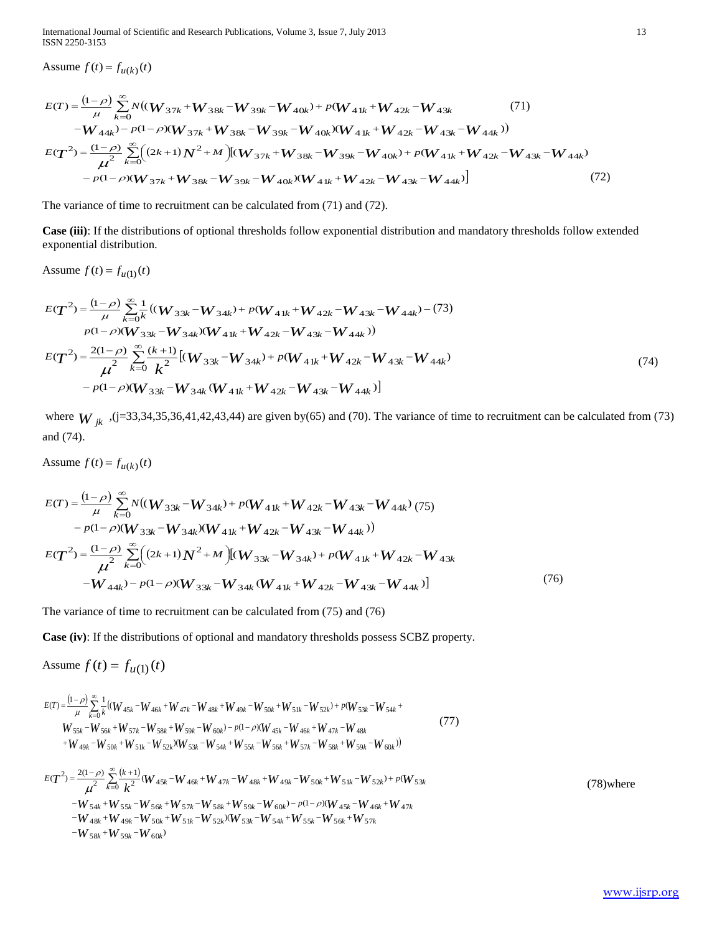International Journal of Scientific and Research Publications, Volume 3, Issue 7, July 2013 13 ISSN 2250-3153

Assume  $f(t) = f_{u(k)}(t)$ 

Assume 
$$
f(t) = f_{u(k)}(t)
$$
  
\n
$$
E(T) = \frac{(1-\rho)}{\mu} \sum_{k=0}^{\infty} N((W_{37k} + W_{38k} - W_{39k} - W_{40k}) + p(W_{41k} + W_{42k} - W_{43k} \qquad (71)
$$
\n
$$
-W_{44k}) - p(1-\rho)(W_{37k} + W_{38k} - W_{39k} - W_{40k})(W_{41k} + W_{42k} - W_{43k} - W_{44k}))
$$
\n
$$
E(T^{2}) = \frac{(1-\rho)}{\mu^{2}} \sum_{k=0}^{\infty} \Big( (2k+1)N^{2} + M \Big) [(W_{37k} + W_{38k} - W_{39k} - W_{40k}) + p(W_{41k} + W_{42k} - W_{43k} - W_{44k}) - p(1-\rho)(W_{37k} + W_{38k} - W_{39k} - W_{40k})(W_{41k} + W_{42k} - W_{43k} - W_{44k})] \tag{72}
$$

The variance of time to recruitment can be calculated from (71) and (72).

**Case (iii)**: If the distributions of optional thresholds follow exponential distribution and mandatory thresholds follow extended exponential distribution.

Assume  $f(t) = f_{u(1)}(t)$ 

$$
E(T^{2}) = \frac{(1-\rho)}{\mu} \sum_{k=0}^{\infty} \frac{1}{k} ((W_{33k} - W_{34k}) + p(W_{41k} + W_{42k} - W_{43k} - W_{44k}) - (73)
$$
  
\n
$$
p(1-\rho)(W_{33k} - W_{34k})(W_{41k} + W_{42k} - W_{43k} - W_{44k}))
$$
  
\n
$$
E(T^{2}) = \frac{2(1-\rho)}{\mu^{2}} \sum_{k=0}^{\infty} \frac{(k+1)}{k^{2}} [(W_{33k} - W_{34k}) + p(W_{41k} + W_{42k} - W_{43k} - W_{44k}) -p(1-\rho)(W_{33k} - W_{34k}(W_{41k} + W_{42k} - W_{43k} - W_{44k})]
$$
\n(74)

where  $W_{jk}$ , (j=33,34,35,36,41,42,43,44) are given by(65) and (70). The variance of time to recruitment can be calculated from (73) and (74).

Assume  $f(t) = f_{u(k)}(t)$ 

$$
E(T) = \frac{(1-\rho)}{\mu} \sum_{k=0}^{\infty} N((W_{33k} - W_{34k}) + p(W_{41k} + W_{42k} - W_{43k} - W_{44k}) (75)
$$
  
\n
$$
- p(1-\rho)(W_{33k} - W_{34k})(W_{41k} + W_{42k} - W_{43k} - W_{44k}))
$$
  
\n
$$
E(T^2) = \frac{(1-\rho)}{\mu^2} \sum_{k=0}^{\infty} ((2k+1)N^2 + M) [(W_{33k} - W_{34k}) + p(W_{41k} + W_{42k} - W_{43k} - W_{44k}) - p(1-\rho)(W_{33k} - W_{34k}(W_{41k} + W_{42k} - W_{43k} - W_{44k})]
$$
 (76)

The variance of time to recruitment can be calculated from (75) and (76)

**Case (iv)**: If the distributions of optional and mandatory thresholds possess SCBZ property.

Assume  $f(t) = f_{u(1)}(t)$ 

$$
E(T) = \frac{(1-\rho)}{\mu} \sum_{k=0}^{\infty} \frac{1}{k} \left( (W_{45k} - W_{46k} + W_{47k} - W_{48k} + W_{49k} - W_{50k} + W_{51k} - W_{52k}) + p(W_{53k} - W_{54k} + W_{54k} - W_{55k} - W_{56k} + W_{57k} - W_{58k} + W_{59k} - W_{60k}) - p(1-\rho)(W_{45k} - W_{46k} + W_{47k} - W_{48k} - W_{49k} - W_{50k} + W_{51k} - W_{52k}) \right)
$$
\n
$$
+ W_{49k} - W_{50k} + W_{51k} - W_{52k} \left( (1 - \rho) \frac{W_{45k} - W_{46k} + W_{47k} - W_{48k}}{W_{57k} - W_{56k} + W_{57k} - W_{58k} + W_{59k} - W_{60k})} \right)
$$
\n
$$
(77)
$$

$$
E(T^{2}) = \frac{2(1-\rho)}{\mu^{2}} \sum_{k=0}^{\infty} \frac{(k+1)}{k^{2}} (W_{45k} - W_{46k} + W_{47k} - W_{48k} + W_{49k} - W_{50k} + W_{51k} - W_{52k}) + p(W_{53k} - W_{53k})
$$
  
\n
$$
E(T^{2}) = \frac{2(1-\rho)}{\mu^{2}} \sum_{k=0}^{\infty} \frac{(k+1)}{k^{2}} (W_{45k} - W_{46k} + W_{47k} - W_{48k} + W_{49k} - W_{50k} + W_{51k} - W_{52k}) + p(W_{53k}
$$
  
\n
$$
-W_{54k} + W_{55k} - W_{56k} + W_{57k} - W_{58k} + W_{59k} - W_{60k}) - p(1-\rho)(W_{45k} - W_{46k} + W_{47k})
$$
  
\n
$$
-W_{48k} + W_{49k} - W_{50k} + W_{51k} - W_{52k})(W_{53k} - W_{54k} + W_{55k} - W_{56k} + W_{57k})
$$
  
\n
$$
-W_{58k} + W_{59k} - W_{60k})
$$
  
\n(78) where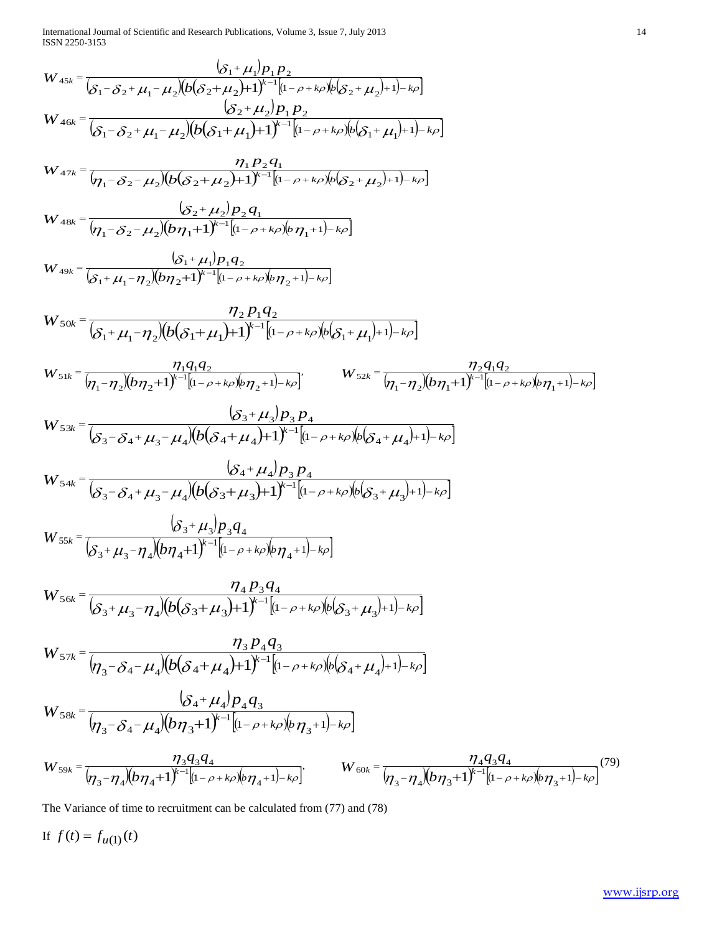International Journal of Scientific and Research Publications, Volume 3, Issue 7, July 2013 14 ISSN 2250-3153

$$
W_{45k} = \frac{(S_1 + \mu_1)P_1 P_2}{(S_1 - S_2 + \mu_1 - \mu_2)(b(S_2 + \mu_2) + 1)^{k-1}[1 - \rho + k\rho b(S_2 + \mu_2) + 1) - k\rho]}
$$
\n
$$
W_{46k} = \frac{(S_2 + \mu_2)P_1 P_2}{(S_1 - S_2 + \mu_1 - \mu_2)(b(S_1 + \mu_1) + 1)^{k-1}[1 - \rho + k\rho b(S_1 + \mu_1) + 1) - k\rho]}
$$
\n
$$
W_{47k} = \frac{\eta_1 P_2 Q_1}{(\eta_1 - S_2 - \mu_2)(b(S_2 + \mu_2) + 1)^{k-1}[1 - \rho + k\rho b(S_2 + \mu_2) + 1) - k\rho]}
$$
\n
$$
W_{48k} = \frac{(S_2 + \mu_2)P_2 Q_1}{(\eta_1 - S_2 - \mu_2)(b(\eta_1 + 1)^{k-1}[1 - \rho + k\rho b(\eta_1 + 1) - k\rho]}
$$
\n
$$
W_{49k} = \frac{(S_1 + \mu_1)P_1 Q_2}{(\delta_1 + \mu_1 - \eta_2)(b(\eta_1 + 1)^{k-1}[1 - \rho + k\rho b(\eta_1 + 1) - k\rho]}
$$
\n
$$
W_{50k} = \frac{\eta_2 P_1 Q_2}{(\delta_1 + \mu_1 - \eta_2)(b(S_1 + \mu_1) + 1)^{k-1}[1 - \rho + k\rho b(S_1 + \mu_1) + 1) - k\rho]}
$$
\n
$$
W_{51k} = \frac{\eta_1 Q_2}{(\eta_1 - \eta_2)(b(S_1 + \mu_1) + 1)^{k-1}[1 - \rho + k\rho b(S_1 + \mu_1) + 1) - k\rho]}
$$
\n
$$
W_{52k} = \frac{S_3}{(\delta_3 - \delta_4 + \mu_3 - \mu_4)(b(S_4 + \mu_4) + 1)^{k-1}[1 - \rho + k\rho b(S_4 + \mu_4) + 1) - k\rho]}
$$
\n
$$
W_{53k} = \frac{(S_3 + \mu_3)P_3 Q_4}{(\delta_3 - \delta_4 + \mu
$$

The Variance of time to recruitment can be calculated from (77) and (78)

If  $f(t) = f_{u(1)}(t)$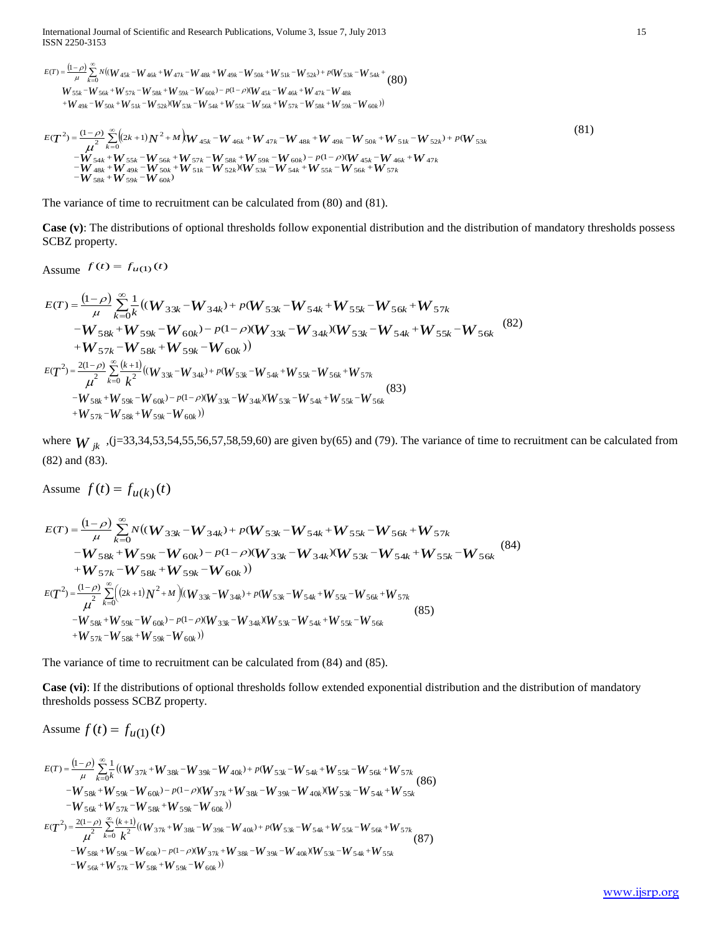International Journal of Scientific and Research Publications, Volume 3, Issue 7, July 2013 15 ISSN 2250-3153

$$
E(T) = \frac{(1-\rho)}{\mu} \sum_{k=0}^{\infty} N((W_{45k} - W_{46k} + W_{47k} - W_{48k} + W_{49k} - W_{50k} + W_{51k} - W_{52k}) + p(W_{53k} - W_{54k} + (80)
$$
  
\n
$$
W_{55k} - W_{56k} + W_{57k} - W_{58k} + W_{59k} - W_{60k}) - p(1-\rho)(W_{45k} - W_{46k} + W_{47k} - W_{48k} + W_{48k} - W_{49k} - W_{50k} + W_{51k} - W_{52k})(W_{53k} - W_{54k} + W_{55k} - W_{56k} + W_{57k} - W_{58k} + W_{59k} - W_{60k}))
$$

$$
E(T^{2}) = \frac{(1-\rho)}{\mu^{2}} \sum_{k=0}^{\infty} \left( (2k+1)N^{2} + M \right) W_{45k} - W_{46k} + W_{47k} - W_{48k} + W_{49k} - W_{50k} + W_{51k} - W_{52k} + p(W_{53k} - W_{53k}) + \rho(W_{53k} - W_{54k} + W_{55k} - W_{56k} + W_{57k} - W_{58k} + W_{59k} - W_{60k}) - p(1-\rho)(W_{45k} - W_{46k} + W_{47k} - W_{48k} + W_{49k} - W_{50k} + W_{51k} - W_{52k}) (W_{53k} - W_{54k} + W_{55k} - W_{56k} + W_{57k} - W_{58k} + W_{59k} - W_{60k}) \right)
$$
\n
$$
(81)
$$

The variance of time to recruitment can be calculated from (80) and (81).

**Case (v)**: The distributions of optional thresholds follow exponential distribution and the distribution of mandatory thresholds possess SCBZ property.

Assume 
$$
f(t) = f_{u(1)}(t)
$$

Assume 
$$
J(t) = J_u(t)
$$
  
\n
$$
E(T) = \frac{(1-\rho)}{\mu} \sum_{k=0}^{\infty} \frac{1}{k} ((W_{33k} - W_{34k}) + p(W_{53k} - W_{54k} + W_{55k} - W_{56k} + W_{57k} - W_{58k} + W_{59k} - W_{60k}) - p(1-\rho)(W_{33k} - W_{34k})(W_{53k} - W_{54k} + W_{55k} - W_{56k} - W_{56k} - W_{57k} - W_{58k} + W_{59k} - W_{60k}))
$$
\n
$$
E(T^{2}) = \frac{2(1-\rho)}{\mu^{2}} \sum_{k=0}^{\infty} \frac{(k+1)}{k^{2}} ((W_{33k} - W_{34k}) + p(W_{53k} - W_{54k} + W_{55k} - W_{56k} + W_{57k} - W_{58k} + W_{59k} - W_{60k}) - p(1-\rho)(W_{33k} - W_{34k})(W_{53k} - W_{54k} + W_{55k} - W_{56k})
$$
\n
$$
+ W_{57k} - W_{58k} + W_{59k} - W_{60k})
$$
\n(83)

where  $W_{jk}$ , (j=33,34,53,54,55,56,57,58,59,60) are given by(65) and (79). The variance of time to recruitment can be calculated from (82) and (83).

Assume  $f(t) = f_{u(k)}(t)$ 

$$
E(T) = \frac{(1-\rho)}{\mu} \sum_{k=0}^{\infty} N((W_{33k} - W_{34k}) + p(W_{53k} - W_{54k} + W_{55k} - W_{56k} + W_{57k} - W_{58k} + W_{59k} - W_{60k}) - p(1-\rho)(W_{33k} - W_{34k})(W_{53k} - W_{54k} + W_{55k} - W_{56k})
$$
\n
$$
+ W_{57k} - W_{58k} + W_{59k} - W_{60k})
$$
\n
$$
E(T^{2}) = \frac{(1-\rho)}{\mu^{2}} \sum_{k=0}^{\infty} ((2k+1)N^{2} + M)((W_{33k} - W_{34k}) + p(W_{53k} - W_{54k} + W_{55k} - W_{56k} + W_{57k} - W_{58k} + W_{59k} - W_{60k}) - p(1-\rho)(W_{33k} - W_{34k})W_{53k} - W_{54k} + W_{55k} - W_{56k}
$$
\n
$$
+ W_{57k} - W_{58k} + W_{59k} - W_{60k})
$$
\n
$$
+ W_{57k} - W_{58k} + W_{59k} - W_{60k})
$$
\n(85)

The variance of time to recruitment can be calculated from (84) and (85).

**Case (vi)**: If the distributions of optional thresholds follow extended exponential distribution and the distribution of mandatory thresholds possess SCBZ property.

Assume 
$$
f(t) = f_{u(1)}(t)
$$

$$
E(T) = \frac{(1-\rho)}{\mu} \sum_{k=0}^{\infty} \frac{1}{k} ((W_{37k} + W_{38k} - W_{39k} - W_{40k}) + p(W_{53k} - W_{54k} + W_{55k} - W_{56k} + W_{57k} - W_{58k} + W_{59k} - W_{60k}) - p(1-\rho)(W_{37k} + W_{38k} - W_{39k} - W_{40k})(W_{53k} - W_{54k} + W_{55k} - W_{56k} + W_{57k} - W_{58k} + W_{59k} - W_{60k}))
$$
\n
$$
= (T^2) = \frac{2(1-\rho)}{\mu^2} \sum_{k=0}^{\infty} \frac{(k+1)}{k^2} ((W_{37k} + W_{38k} - W_{39k} - W_{40k}) + p(W_{53k} - W_{54k} + W_{55k} - W_{56k} + W_{57k} - W_{58k} + W_{59k} - W_{60k}) - p(1-\rho)(W_{37k} + W_{38k} - W_{39k} - W_{40k})(W_{53k} - W_{54k} + W_{55k} - W_{56k} + W_{57k} - W_{56k} + W_{57k} - W_{58k} + W_{59k} - W_{60k}))
$$
\n(87)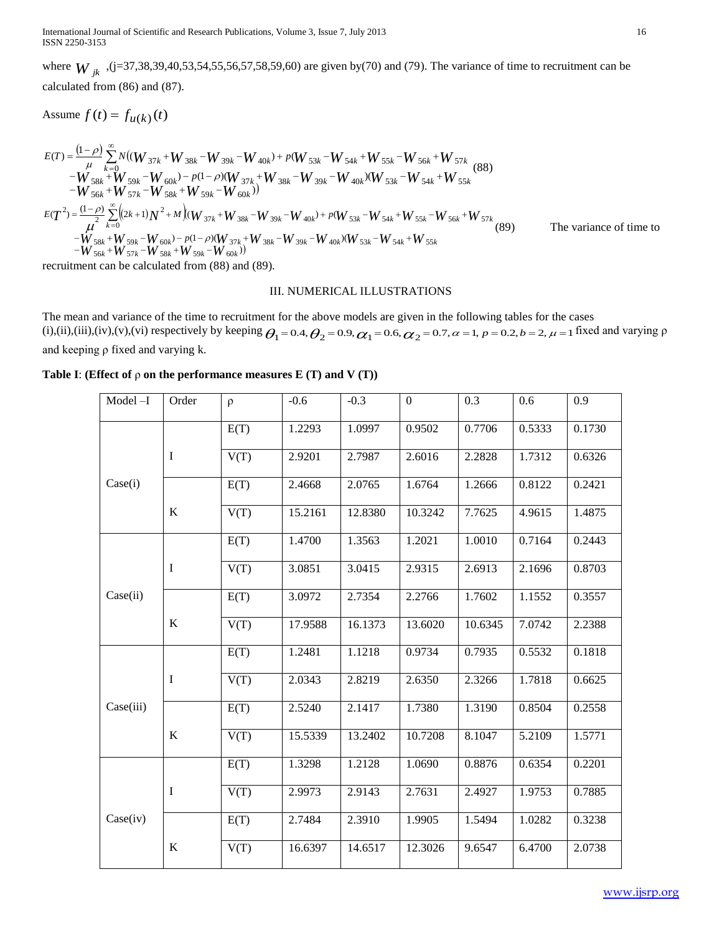International Journal of Scientific and Research Publications, Volume 3, Issue 7, July 2013 16 ISSN 2250-3153

where  $W_{jk}$ , (j=37,38,39,40,53,54,55,56,57,58,59,60) are given by(70) and (79). The variance of time to recruitment can be calculated from (86) and (87).

Assume  $f(t) = f_{u(k)}(t)$ 

$$
E(T) = \frac{(1-\rho)}{\mu} \sum_{k=0}^{\infty} N((W_{37k} + W_{38k} - W_{39k} - W_{40k}) + p(W_{53k} - W_{54k} + W_{55k} - W_{56k} + W_{57k} - W_{58k} - W_{58k} + W_{59k} - W_{60k}) - p(1-\rho)(W_{37k} + W_{38k} - W_{39k} - W_{40k})(W_{53k} - W_{54k} + W_{55k} - W_{58k} - W_{58k} - W_{58k} - W_{58k} - W_{58k} - W_{58k} - W_{58k} - W_{58k} - W_{58k} - W_{58k} - W_{58k} - W_{58k} - W_{58k} - W_{58k} - W_{58k} - W_{58k} - W_{58k} - W_{58k} - W_{58k} - W_{58k} - W_{58k} - W_{58k} - W_{58k} - W_{58k} - W_{58k} - W_{58k} - W_{58k} - W_{58k} - W_{58k} - W_{58k} - W_{58k} - W_{58k} - W_{58k} - W_{58k} - W_{58k} - W_{58k} - W_{58k} - W_{58k} - W_{58k} - W_{58k} - W_{58k} - W_{58k} - W_{58k} - W_{58k} - W_{58k} - W_{58k} - W_{58k} - W_{58k} - W_{58k} - W_{58k} - W_{58k} - W_{58k} - W_{58k} - W_{58k} - W_{58k} - W_{58k} - W_{58k} - W_{58k} - W_{58k} - W_{58k} - W_{58k} - W_{58k} - W_{58k} - W_{58k} - W_{58k} - W_{58k} - W_{58k} - W_{58k} - W_{58k} - W_{58k} - W_{58k} - W_{58k} - W_{58k} - W_{58k} - W_{58k} - W_{58k} - W_{58k} - W_{58k} - W_{58k} - W_{58k} - W_{58k} - W_{58k} - W_{58k} - W_{58
$$

### III. NUMERICAL ILLUSTRATIONS

The mean and variance of the time to recruitment for the above models are given in the following tables for the cases (i),(ii),(iii),(iv),(v),(vi) respectively by keeping  $\theta_1 = 0.4$ ,  $\theta_2 = 0.9$ ,  $\alpha_1 = 0.6$ ,  $\alpha_2 = 0.7$ ,  $\alpha = 1$ ,  $p = 0.2$ ,  $b = 2$ ,  $\mu = 1$  fixed and varying  $\rho$ and keeping ρ fixed and varying k.

Table I: **(Effect of**  $\rho$  **on the performance measures E (T) and V (T))** 

| Model-I   | Order       | $\rho$ | $-0.6$  | $-0.3$  | $\mathbf{0}$ | 0.3     | 0.6    | 0.9    |
|-----------|-------------|--------|---------|---------|--------------|---------|--------|--------|
|           |             | E(T)   | 1.2293  | 1.0997  | 0.9502       | 0.7706  | 0.5333 | 0.1730 |
|           | I           | V(T)   | 2.9201  | 2.7987  | 2.6016       | 2.2828  | 1.7312 | 0.6326 |
| Case(i)   |             | E(T)   | 2.4668  | 2.0765  | 1.6764       | 1.2666  | 0.8122 | 0.2421 |
|           | $\bf K$     | V(T)   | 15.2161 | 12.8380 | 10.3242      | 7.7625  | 4.9615 | 1.4875 |
|           |             | E(T)   | 1.4700  | 1.3563  | 1.2021       | 1.0010  | 0.7164 | 0.2443 |
|           | $\bf{I}$    | V(T)   | 3.0851  | 3.0415  | 2.9315       | 2.6913  | 2.1696 | 0.8703 |
| Case(ii)  |             | E(T)   | 3.0972  | 2.7354  | 2.2766       | 1.7602  | 1.1552 | 0.3557 |
|           | K           | V(T)   | 17.9588 | 16.1373 | 13.6020      | 10.6345 | 7.0742 | 2.2388 |
|           |             | E(T)   | 1.2481  | 1.1218  | 0.9734       | 0.7935  | 0.5532 | 0.1818 |
|           | $\mathbf I$ | V(T)   | 2.0343  | 2.8219  | 2.6350       | 2.3266  | 1.7818 | 0.6625 |
| Case(iii) |             | E(T)   | 2.5240  | 2.1417  | 1.7380       | 1.3190  | 0.8504 | 0.2558 |
|           | $\bf K$     | V(T)   | 15.5339 | 13.2402 | 10.7208      | 8.1047  | 5.2109 | 1.5771 |
|           |             | E(T)   | 1.3298  | 1.2128  | 1.0690       | 0.8876  | 0.6354 | 0.2201 |
|           | $\mathbf I$ | V(T)   | 2.9973  | 2.9143  | 2.7631       | 2.4927  | 1.9753 | 0.7885 |
| Case(iv)  |             | E(T)   | 2.7484  | 2.3910  | 1.9905       | 1.5494  | 1.0282 | 0.3238 |
|           | $\bf K$     | V(T)   | 16.6397 | 14.6517 | 12.3026      | 9.6547  | 6.4700 | 2.0738 |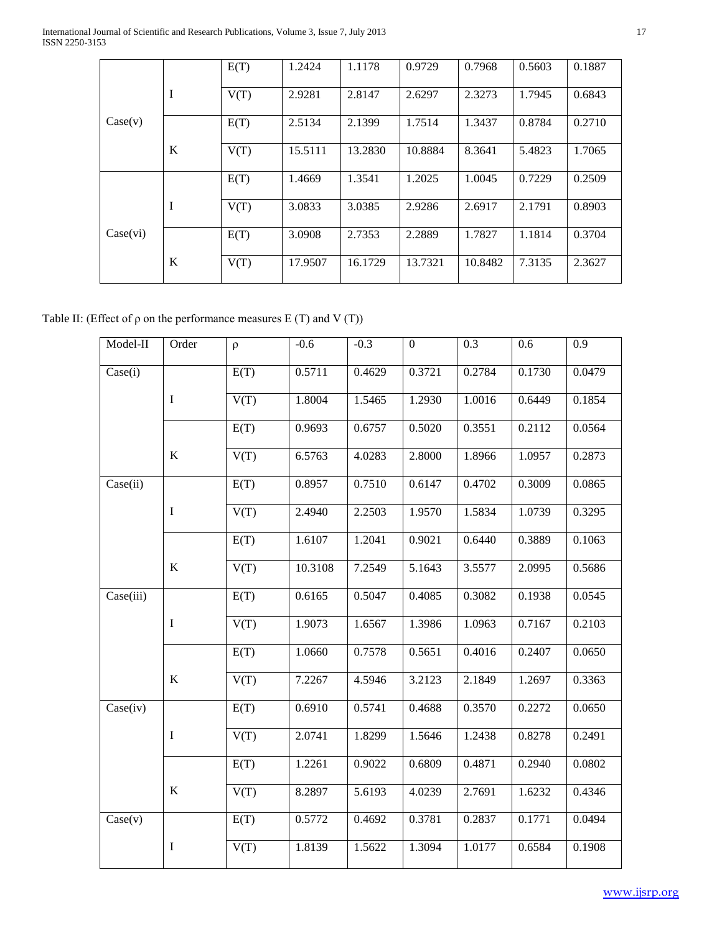International Journal of Scientific and Research Publications, Volume 3, Issue 7, July 2013 17 ISSN 2250-3153

|          |   | E(T) | 1.2424  | 1.1178  | 0.9729  | 0.7968  | 0.5603 | 0.1887 |
|----------|---|------|---------|---------|---------|---------|--------|--------|
|          | I | V(T) | 2.9281  | 2.8147  | 2.6297  | 2.3273  | 1.7945 | 0.6843 |
| Case(v)  |   | E(T) | 2.5134  | 2.1399  | 1.7514  | 1.3437  | 0.8784 | 0.2710 |
|          | K | V(T) | 15.5111 | 13.2830 | 10.8884 | 8.3641  | 5.4823 | 1.7065 |
|          |   | E(T) | 1.4669  | 1.3541  | 1.2025  | 1.0045  | 0.7229 | 0.2509 |
|          | I | V(T) | 3.0833  | 3.0385  | 2.9286  | 2.6917  | 2.1791 | 0.8903 |
| Case(vi) |   | E(T) | 3.0908  | 2.7353  | 2.2889  | 1.7827  | 1.1814 | 0.3704 |
|          | K | V(T) | 17.9507 | 16.1729 | 13.7321 | 10.8482 | 7.3135 | 2.3627 |

|  |  | Table II: (Effect of $\rho$ on the performance measures E (T) and V (T)) |  |  |  |  |
|--|--|--------------------------------------------------------------------------|--|--|--|--|
|--|--|--------------------------------------------------------------------------|--|--|--|--|

| Model-II  | Order       | $\rho$ | $-0.6$  | $-0.3$ | $\boldsymbol{0}$ | 0.3    | 0.6    | 0.9    |
|-----------|-------------|--------|---------|--------|------------------|--------|--------|--------|
| Case(i)   |             | E(T)   | 0.5711  | 0.4629 | 0.3721           | 0.2784 | 0.1730 | 0.0479 |
|           | I           | V(T)   | 1.8004  | 1.5465 | 1.2930           | 1.0016 | 0.6449 | 0.1854 |
|           |             | E(T)   | 0.9693  | 0.6757 | 0.5020           | 0.3551 | 0.2112 | 0.0564 |
|           | K           | V(T)   | 6.5763  | 4.0283 | 2.8000           | 1.8966 | 1.0957 | 0.2873 |
| Case(ii)  |             | E(T)   | 0.8957  | 0.7510 | 0.6147           | 0.4702 | 0.3009 | 0.0865 |
|           | $\mathbf I$ | V(T)   | 2.4940  | 2.2503 | 1.9570           | 1.5834 | 1.0739 | 0.3295 |
|           |             | E(T)   | 1.6107  | 1.2041 | 0.9021           | 0.6440 | 0.3889 | 0.1063 |
|           | $\bf K$     | V(T)   | 10.3108 | 7.2549 | 5.1643           | 3.5577 | 2.0995 | 0.5686 |
| Case(iii) |             | E(T)   | 0.6165  | 0.5047 | 0.4085           | 0.3082 | 0.1938 | 0.0545 |
|           | $\mathbf I$ | V(T)   | 1.9073  | 1.6567 | 1.3986           | 1.0963 | 0.7167 | 0.2103 |
|           |             | E(T)   | 1.0660  | 0.7578 | 0.5651           | 0.4016 | 0.2407 | 0.0650 |
|           | $\bf K$     | V(T)   | 7.2267  | 4.5946 | 3.2123           | 2.1849 | 1.2697 | 0.3363 |
| Case(iv)  |             | E(T)   | 0.6910  | 0.5741 | 0.4688           | 0.3570 | 0.2272 | 0.0650 |
|           | $\mathbf I$ | V(T)   | 2.0741  | 1.8299 | 1.5646           | 1.2438 | 0.8278 | 0.2491 |
|           |             | E(T)   | 1.2261  | 0.9022 | 0.6809           | 0.4871 | 0.2940 | 0.0802 |
|           | $\bf K$     | V(T)   | 8.2897  | 5.6193 | 4.0239           | 2.7691 | 1.6232 | 0.4346 |
| Case(v)   |             | E(T)   | 0.5772  | 0.4692 | 0.3781           | 0.2837 | 0.1771 | 0.0494 |
|           | I           | V(T)   | 1.8139  | 1.5622 | 1.3094           | 1.0177 | 0.6584 | 0.1908 |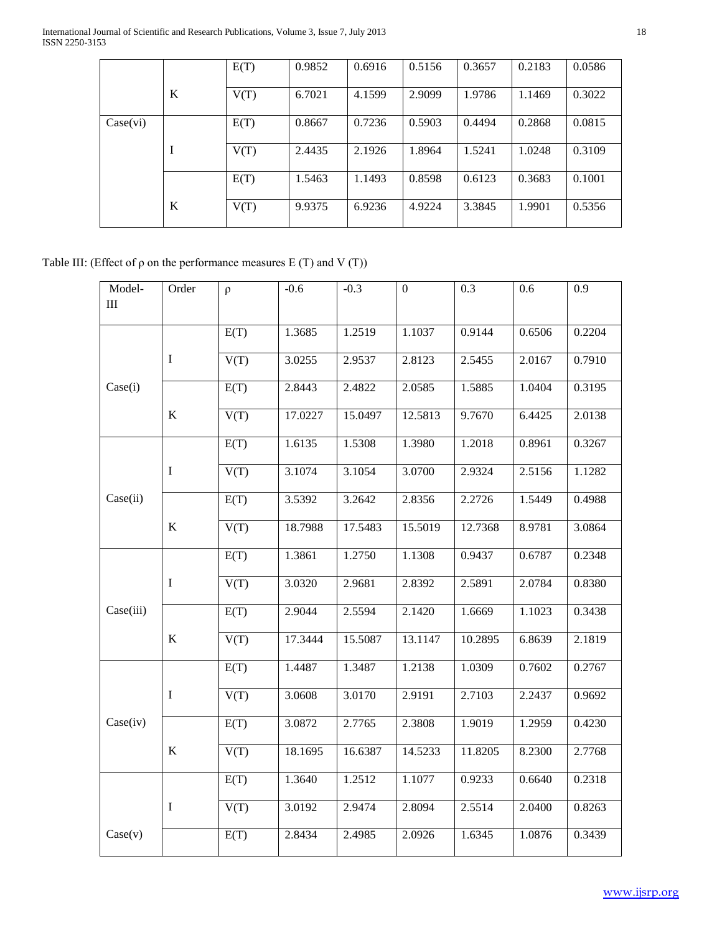|          |   | E(T) | 0.9852 | 0.6916 | 0.5156 | 0.3657 | 0.2183 | 0.0586 |
|----------|---|------|--------|--------|--------|--------|--------|--------|
|          | K | V(T) | 6.7021 | 4.1599 | 2.9099 | 1.9786 | 1.1469 | 0.3022 |
| Case(vi) |   | E(T) | 0.8667 | 0.7236 | 0.5903 | 0.4494 | 0.2868 | 0.0815 |
|          |   | V(T) | 2.4435 | 2.1926 | 1.8964 | 1.5241 | 1.0248 | 0.3109 |
|          |   | E(T) | 1.5463 | 1.1493 | 0.8598 | 0.6123 | 0.3683 | 0.1001 |
|          | K | V(T) | 9.9375 | 6.9236 | 4.9224 | 3.3845 | 1.9901 | 0.5356 |

## Table III: (Effect of  $\rho$  on the performance measures E (T) and V (T))

| Model-<br>III | Order       | $\rho$ | $-0.6$  | $-0.3$  | $\boldsymbol{0}$ | 0.3     | 0.6    | 0.9    |
|---------------|-------------|--------|---------|---------|------------------|---------|--------|--------|
|               |             | E(T)   | 1.3685  | 1.2519  | 1.1037           | 0.9144  | 0.6506 | 0.2204 |
|               | $\mathbf I$ | V(T)   | 3.0255  | 2.9537  | 2.8123           | 2.5455  | 2.0167 | 0.7910 |
| Case(i)       |             | E(T)   | 2.8443  | 2.4822  | 2.0585           | 1.5885  | 1.0404 | 0.3195 |
|               | K           | V(T)   | 17.0227 | 15.0497 | 12.5813          | 9.7670  | 6.4425 | 2.0138 |
|               |             | E(T)   | 1.6135  | 1.5308  | 1.3980           | 1.2018  | 0.8961 | 0.3267 |
|               | $\mathbf I$ | V(T)   | 3.1074  | 3.1054  | 3.0700           | 2.9324  | 2.5156 | 1.1282 |
| Case(ii)      |             | E(T)   | 3.5392  | 3.2642  | 2.8356           | 2.2726  | 1.5449 | 0.4988 |
|               | K           | V(T)   | 18.7988 | 17.5483 | 15.5019          | 12.7368 | 8.9781 | 3.0864 |
|               |             | E(T)   | 1.3861  | 1.2750  | 1.1308           | 0.9437  | 0.6787 | 0.2348 |
|               | I           | V(T)   | 3.0320  | 2.9681  | 2.8392           | 2.5891  | 2.0784 | 0.8380 |
| Case(iii)     |             | E(T)   | 2.9044  | 2.5594  | 2.1420           | 1.6669  | 1.1023 | 0.3438 |
|               | $\bf K$     | V(T)   | 17.3444 | 15.5087 | 13.1147          | 10.2895 | 6.8639 | 2.1819 |
|               |             | E(T)   | 1.4487  | 1.3487  | 1.2138           | 1.0309  | 0.7602 | 0.2767 |
|               | I           | V(T)   | 3.0608  | 3.0170  | 2.9191           | 2.7103  | 2.2437 | 0.9692 |
| Case(iv)      |             | E(T)   | 3.0872  | 2.7765  | 2.3808           | 1.9019  | 1.2959 | 0.4230 |
|               | $\bf K$     | V(T)   | 18.1695 | 16.6387 | 14.5233          | 11.8205 | 8.2300 | 2.7768 |
|               |             | E(T)   | 1.3640  | 1.2512  | 1.1077           | 0.9233  | 0.6640 | 0.2318 |
|               | I           | V(T)   | 3.0192  | 2.9474  | 2.8094           | 2.5514  | 2.0400 | 0.8263 |
| Case(v)       |             | E(T)   | 2.8434  | 2.4985  | 2.0926           | 1.6345  | 1.0876 | 0.3439 |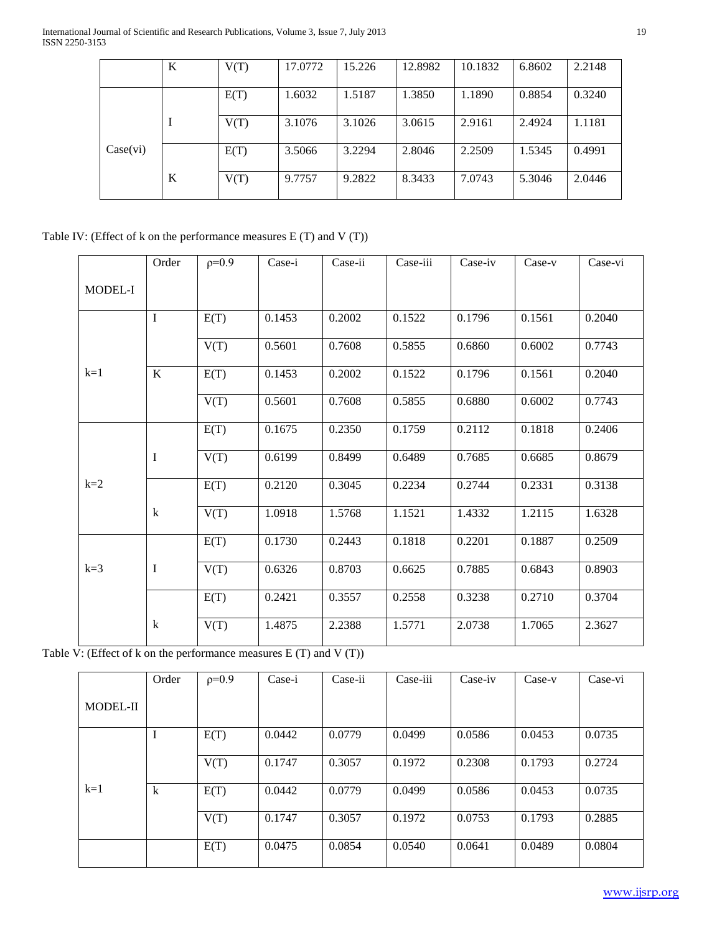|          | K | V(T) | 17.0772 | 15.226 | 12.8982 | 10.1832 | 6.8602 | 2.2148 |
|----------|---|------|---------|--------|---------|---------|--------|--------|
|          |   |      |         |        |         |         |        |        |
|          |   | E(T) | 1.6032  | 1.5187 | 1.3850  | 1.1890  | 0.8854 | 0.3240 |
|          | I | V(T) | 3.1076  | 3.1026 | 3.0615  | 2.9161  | 2.4924 | 1.1181 |
| Case(vi) |   | E(T) | 3.5066  | 3.2294 | 2.8046  | 2.2509  | 1.5345 | 0.4991 |
|          | K | V(T) | 9.7757  | 9.2822 | 8.3433  | 7.0743  | 5.3046 | 2.0446 |

# Table IV: (Effect of k on the performance measures E (T) and V (T))

|         | Order       | $p=0.9$ | Case-i | Case-ii | Case-iii | Case-iv | Case-v | Case-vi |
|---------|-------------|---------|--------|---------|----------|---------|--------|---------|
| MODEL-I |             |         |        |         |          |         |        |         |
|         | I           | E(T)    | 0.1453 | 0.2002  | 0.1522   | 0.1796  | 0.1561 | 0.2040  |
|         |             | V(T)    | 0.5601 | 0.7608  | 0.5855   | 0.6860  | 0.6002 | 0.7743  |
| $k=1$   | K           | E(T)    | 0.1453 | 0.2002  | 0.1522   | 0.1796  | 0.1561 | 0.2040  |
|         |             | V(T)    | 0.5601 | 0.7608  | 0.5855   | 0.6880  | 0.6002 | 0.7743  |
|         |             | E(T)    | 0.1675 | 0.2350  | 0.1759   | 0.2112  | 0.1818 | 0.2406  |
|         | I           | V(T)    | 0.6199 | 0.8499  | 0.6489   | 0.7685  | 0.6685 | 0.8679  |
| $k=2$   |             | E(T)    | 0.2120 | 0.3045  | 0.2234   | 0.2744  | 0.2331 | 0.3138  |
|         | $\mathbf k$ | V(T)    | 1.0918 | 1.5768  | 1.1521   | 1.4332  | 1.2115 | 1.6328  |
|         |             | E(T)    | 0.1730 | 0.2443  | 0.1818   | 0.2201  | 0.1887 | 0.2509  |
| $k=3$   | I           | V(T)    | 0.6326 | 0.8703  | 0.6625   | 0.7885  | 0.6843 | 0.8903  |
|         |             | E(T)    | 0.2421 | 0.3557  | 0.2558   | 0.3238  | 0.2710 | 0.3704  |
|         | k           | V(T)    | 1.4875 | 2.2388  | 1.5771   | 2.0738  | 1.7065 | 2.3627  |

Table V: (Effect of k on the performance measures E (T) and V (T))

|                 | Order       | $p=0.9$ | Case-i | Case-ii | Case-iii | Case-iv | $Case-v$ | Case-vi |
|-----------------|-------------|---------|--------|---------|----------|---------|----------|---------|
| <b>MODEL-II</b> |             |         |        |         |          |         |          |         |
|                 |             | E(T)    | 0.0442 | 0.0779  | 0.0499   | 0.0586  | 0.0453   | 0.0735  |
|                 |             | V(T)    | 0.1747 | 0.3057  | 0.1972   | 0.2308  | 0.1793   | 0.2724  |
| $k=1$           | $\mathbf k$ | E(T)    | 0.0442 | 0.0779  | 0.0499   | 0.0586  | 0.0453   | 0.0735  |
|                 |             | V(T)    | 0.1747 | 0.3057  | 0.1972   | 0.0753  | 0.1793   | 0.2885  |
|                 |             | E(T)    | 0.0475 | 0.0854  | 0.0540   | 0.0641  | 0.0489   | 0.0804  |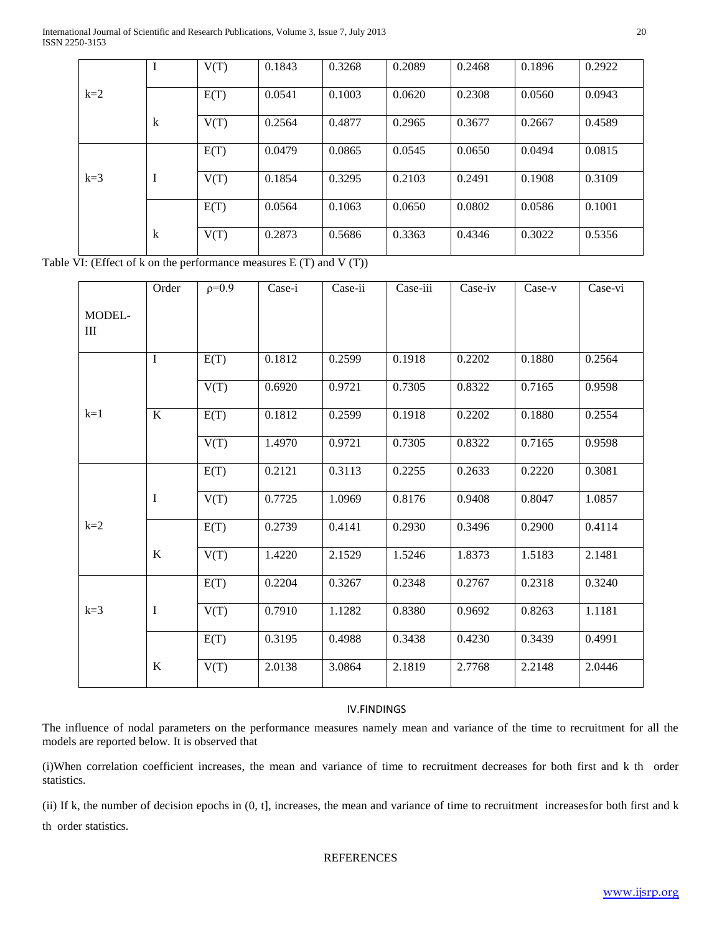International Journal of Scientific and Research Publications, Volume 3, Issue 7, July 2013 20 ISSN 2250-3153

|       |         | V(T) | 0.1843 | 0.3268 | 0.2089 | 0.2468 | 0.1896 | 0.2922 |
|-------|---------|------|--------|--------|--------|--------|--------|--------|
|       |         |      |        |        |        |        |        |        |
|       |         |      |        |        |        |        |        |        |
| $k=2$ |         | E(T) | 0.0541 | 0.1003 | 0.0620 | 0.2308 | 0.0560 | 0.0943 |
|       |         |      |        |        |        |        |        |        |
|       |         |      |        |        |        |        |        |        |
|       | $\bf k$ | V(T) | 0.2564 | 0.4877 | 0.2965 | 0.3677 | 0.2667 | 0.4589 |
|       |         |      |        |        |        |        |        |        |
|       |         |      |        |        |        |        |        |        |
|       |         | E(T) | 0.0479 | 0.0865 | 0.0545 | 0.0650 | 0.0494 | 0.0815 |
|       |         |      |        |        |        |        |        |        |
|       |         |      |        |        |        |        |        |        |
| $k=3$ | I       | V(T) | 0.1854 | 0.3295 | 0.2103 | 0.2491 | 0.1908 | 0.3109 |
|       |         |      |        |        |        |        |        |        |
|       |         |      |        |        |        |        |        |        |
|       |         | E(T) | 0.0564 | 0.1063 | 0.0650 | 0.0802 | 0.0586 | 0.1001 |
|       |         |      |        |        |        |        |        |        |
|       |         |      |        |        |        |        |        |        |
|       | k       | V(T) | 0.2873 | 0.5686 | 0.3363 | 0.4346 | 0.3022 | 0.5356 |
|       |         |      |        |        |        |        |        |        |
|       |         |      |        |        |        |        |        |        |

Table VI: (Effect of k on the performance measures  $E(T)$  and  $V(T)$ )

|                                            | Order   | $p=0.9$ | Case-i | Case-ii | Case-iii | Case-iv | $Case-v$ | Case-vi |
|--------------------------------------------|---------|---------|--------|---------|----------|---------|----------|---------|
| MODEL-<br>$\mathop{\mathrm{III}}\nolimits$ |         |         |        |         |          |         |          |         |
|                                            | I       | E(T)    | 0.1812 | 0.2599  | 0.1918   | 0.2202  | 0.1880   | 0.2564  |
|                                            |         | V(T)    | 0.6920 | 0.9721  | 0.7305   | 0.8322  | 0.7165   | 0.9598  |
| $k=1$                                      | $\bf K$ | E(T)    | 0.1812 | 0.2599  | 0.1918   | 0.2202  | 0.1880   | 0.2554  |
|                                            |         | V(T)    | 1.4970 | 0.9721  | 0.7305   | 0.8322  | 0.7165   | 0.9598  |
|                                            |         | E(T)    | 0.2121 | 0.3113  | 0.2255   | 0.2633  | 0.2220   | 0.3081  |
|                                            | I       | V(T)    | 0.7725 | 1.0969  | 0.8176   | 0.9408  | 0.8047   | 1.0857  |
| $k=2$                                      |         | E(T)    | 0.2739 | 0.4141  | 0.2930   | 0.3496  | 0.2900   | 0.4114  |
|                                            | $\bf K$ | V(T)    | 1.4220 | 2.1529  | 1.5246   | 1.8373  | 1.5183   | 2.1481  |
|                                            |         | E(T)    | 0.2204 | 0.3267  | 0.2348   | 0.2767  | 0.2318   | 0.3240  |
| $k=3$                                      | I       | V(T)    | 0.7910 | 1.1282  | 0.8380   | 0.9692  | 0.8263   | 1.1181  |
|                                            |         | E(T)    | 0.3195 | 0.4988  | 0.3438   | 0.4230  | 0.3439   | 0.4991  |
|                                            | $\bf K$ | V(T)    | 2.0138 | 3.0864  | 2.1819   | 2.7768  | 2.2148   | 2.0446  |

### IV.FINDINGS

The influence of nodal parameters on the performance measures namely mean and variance of the time to recruitment for all the models are reported below. It is observed that

(i)When correlation coefficient increases, the mean and variance of time to recruitment decreases for both first and k th order statistics.

(ii) If k, the number of decision epochs in (0, t], increases, the mean and variance of time to recruitment increasesfor both first and k th order statistics.

REFERENCES